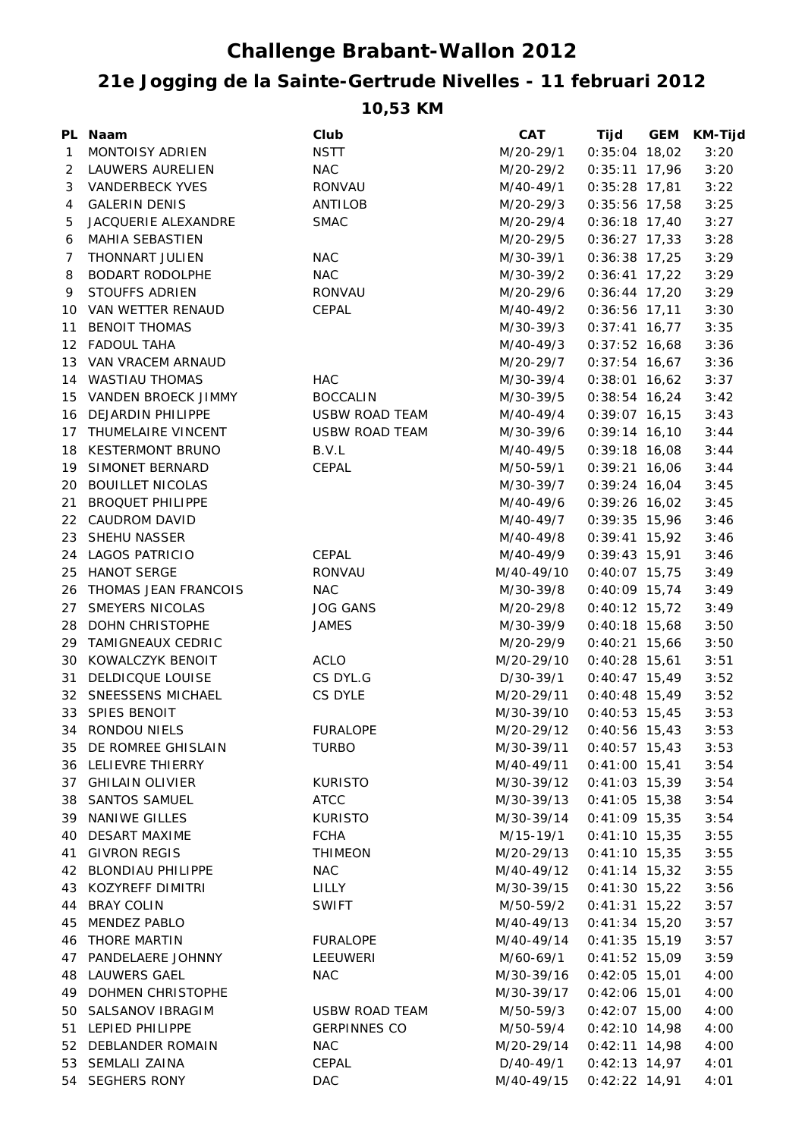## **Challenge Brabant-Wallon 2012**

## **21e Jogging de la Sainte-Gertrude Nivelles - 11 februari 2012**

**10,53 KM**

|              | PL Naam                 | Club                  | <b>CAT</b>                 | Tijd            | GEM | <b>KM-Tijd</b> |
|--------------|-------------------------|-----------------------|----------------------------|-----------------|-----|----------------|
| $\mathbf{1}$ | MONTOISY ADRIEN         | <b>NSTT</b>           | M/20-29/1                  | $0:35:04$ 18,02 |     | 3:20           |
|              | 2 LAUWERS AURELIEN      | <b>NAC</b>            | M/20-29/2                  | $0:35:11$ 17,96 |     | 3:20           |
|              | 3 VANDERBECK YVES       | RONVAU                | M/40-49/1                  | $0:35:28$ 17,81 |     | 3:22           |
| 4            | <b>GALERIN DENIS</b>    | ANTILOB               | M/20-29/3                  | $0:35:56$ 17,58 |     | 3:25           |
| 5            | JACQUERIE ALEXANDRE     | <b>SMAC</b>           | M/20-29/4                  | $0:36:18$ 17,40 |     | 3:27           |
| 6            | MAHIA SEBASTIEN         |                       | M/20-29/5                  | $0:36:27$ 17,33 |     | 3:28           |
| 7            | THONNART JULIEN         | <b>NAC</b>            | M/30-39/1                  | $0:36:38$ 17,25 |     | 3:29           |
| 8            | BODART RODOLPHE         | <b>NAC</b>            | M/30-39/2                  | $0:36:41$ 17,22 |     | 3:29           |
| 9            | <b>STOUFFS ADRIEN</b>   | RONVAU                | M/20-29/6                  | $0:36:44$ 17,20 |     | 3:29           |
|              | 10 VAN WETTER RENAUD    | CEPAL                 | M/40-49/2                  | $0:36:56$ 17,11 |     | 3:30           |
|              | 11 BENOIT THOMAS        |                       | M/30-39/3                  | $0:37:41$ 16,77 |     | 3:35           |
|              | 12 FADOUL TAHA          |                       | M/40-49/3                  | $0:37:52$ 16,68 |     | 3:36           |
|              | 13 VAN VRACEM ARNAUD    |                       | M/20-29/7                  | $0:37:54$ 16,67 |     | 3:36           |
|              | 14 WASTIAU THOMAS       | <b>HAC</b>            | M/30-39/4                  | $0:38:01$ 16,62 |     | 3:37           |
|              | 15 VANDEN BROECK JIMMY  | <b>BOCCALIN</b>       | M/30-39/5                  | $0:38:54$ 16,24 |     | 3:42           |
|              | 16 DEJARDIN PHILIPPE    | <b>USBW ROAD TEAM</b> | M/40-49/4                  | $0:39:07$ 16,15 |     | 3:43           |
|              | 17 THUMELAIRE VINCENT   | <b>USBW ROAD TEAM</b> | M/30-39/6                  | $0:39:14$ 16,10 |     | 3:44           |
|              | 18 KESTERMONT BRUNO     | B.V.L                 | M/40-49/5                  | $0:39:18$ 16,08 |     | 3:44           |
|              | 19 SIMONET BERNARD      | CEPAL                 | M/50-59/1                  | $0:39:21$ 16,06 |     | 3:44           |
|              | 20 BOUILLET NICOLAS     |                       | M/30-39/7                  | $0:39:24$ 16,04 |     | 3:45           |
|              | 21 BROQUET PHILIPPE     |                       | M/40-49/6                  | $0:39:26$ 16,02 |     | 3:45           |
|              | 22 CAUDROM DAVID        |                       | M/40-49/7                  | $0:39:35$ 15,96 |     | 3:46           |
|              | 23 SHEHU NASSER         |                       | M/40-49/8                  | $0:39:41$ 15,92 |     | 3:46           |
|              | 24 LAGOS PATRICIO       | CEPAL                 | M/40-49/9                  | $0:39:43$ 15,91 |     | 3:46           |
|              | 25 HANOT SERGE          | <b>RONVAU</b>         | M/40-49/10                 | $0:40:07$ 15,75 |     | 3:49           |
|              | 26 THOMAS JEAN FRANCOIS | <b>NAC</b>            | M/30-39/8                  | $0:40:09$ 15,74 |     | 3:49           |
|              | 27 SMEYERS NICOLAS      | <b>JOG GANS</b>       | M/20-29/8                  | $0:40:12$ 15,72 |     | 3:49           |
|              | 28 DOHN CHRISTOPHE      | <b>JAMES</b>          | M/30-39/9                  | $0:40:18$ 15,68 |     | 3:50           |
|              | 29 TAMIGNEAUX CEDRIC    |                       | M/20-29/9                  | $0:40:21$ 15,66 |     | 3:50           |
|              | 30 KOWALCZYK BENOIT     | <b>ACLO</b>           | M/20-29/10                 | $0:40:28$ 15,61 |     | 3:51           |
|              | 31 DELDICQUE LOUISE     | CS DYL.G              | D/30-39/1                  | $0:40:47$ 15,49 |     | 3:52           |
|              | 32 SNEESSENS MICHAEL    | CS DYLE               | M/20-29/11                 | $0:40:48$ 15,49 |     | 3:52           |
|              | 33 SPIES BENOIT         |                       | M/30-39/10                 | $0:40:53$ 15,45 |     | 3:53           |
|              | 34 RONDOU NIELS         | <b>FURALOPE</b>       | M/20-29/12                 | $0:40:56$ 15,43 |     | 3:53           |
|              | 35 DE ROMREE GHISLAIN   | TURBO                 | M/30-39/11 0:40:57 15,43   |                 |     | 3:53           |
|              | 36 LELIEVRE THIERRY     |                       | M/40-49/11  0:41:00  15,41 |                 |     | 3:54           |
|              | 37 GHILAIN OLIVIER      | <b>KURISTO</b>        | M/30-39/12 0:41:03 15,39   |                 |     | 3:54           |
|              | 38 SANTOS SAMUEL        | <b>ATCC</b>           | M/30-39/13                 | $0:41:05$ 15,38 |     | 3:54           |
|              | 39 NANIWE GILLES        | <b>KURISTO</b>        | M/30-39/14                 | $0:41:09$ 15,35 |     | 3:54           |
|              | 40 DESART MAXIME        | <b>FCHA</b>           | M/15-19/1                  | $0:41:10$ 15,35 |     | 3:55           |
|              | 41 GIVRON REGIS         | <b>THIMEON</b>        | M/20-29/13                 | $0:41:10$ 15,35 |     | 3:55           |
|              | 42 BLONDIAU PHILIPPE    | <b>NAC</b>            | M/40-49/12                 | $0:41:14$ 15,32 |     | 3:55           |
|              | 43 KOZYREFF DIMITRI     | LILLY                 | M/30-39/15                 | $0:41:30$ 15,22 |     | 3:56           |
|              | 44 BRAY COLIN           | <b>SWIFT</b>          | M/50-59/2                  | $0:41:31$ 15,22 |     | 3:57           |
|              | 45 MENDEZ PABLO         |                       | M/40-49/13                 | $0:41:34$ 15,20 |     | 3:57           |
|              | <b>46 THORE MARTIN</b>  | FURALOPE              | M/40-49/14                 | $0:41:35$ 15,19 |     | 3:57           |
|              | 47 PANDELAERE JOHNNY    | LEEUWERI              | M/60-69/1                  | $0:41:52$ 15,09 |     | 3:59           |
|              | 48 LAUWERS GAEL         | <b>NAC</b>            | M/30-39/16                 | $0:42:05$ 15,01 |     | 4:00           |
|              | 49 DOHMEN CHRISTOPHE    |                       | M/30-39/17 0:42:06 15,01   |                 |     | 4:00           |
|              | 50 SALSANOV IBRAGIM     | USBW ROAD TEAM        | M/50-59/3                  | $0:42:07$ 15,00 |     | 4:00           |
|              | 51 LEPIED PHILIPPE      | <b>GERPINNES CO</b>   | M/50-59/4                  | $0:42:10$ 14,98 |     | 4:00           |
|              | 52 DEBLANDER ROMAIN     | <b>NAC</b>            | M/20-29/14                 | $0:42:11$ 14,98 |     | 4:00           |
|              | 53 SEMLALI ZAINA        | CEPAL                 | D/40-49/1                  | $0:42:13$ 14,97 |     | 4:01           |
|              |                         |                       |                            |                 |     |                |
|              | 54 SEGHERS RONY         | <b>DAC</b>            | M/40-49/15 0:42:22 14,91   |                 |     | 4:01           |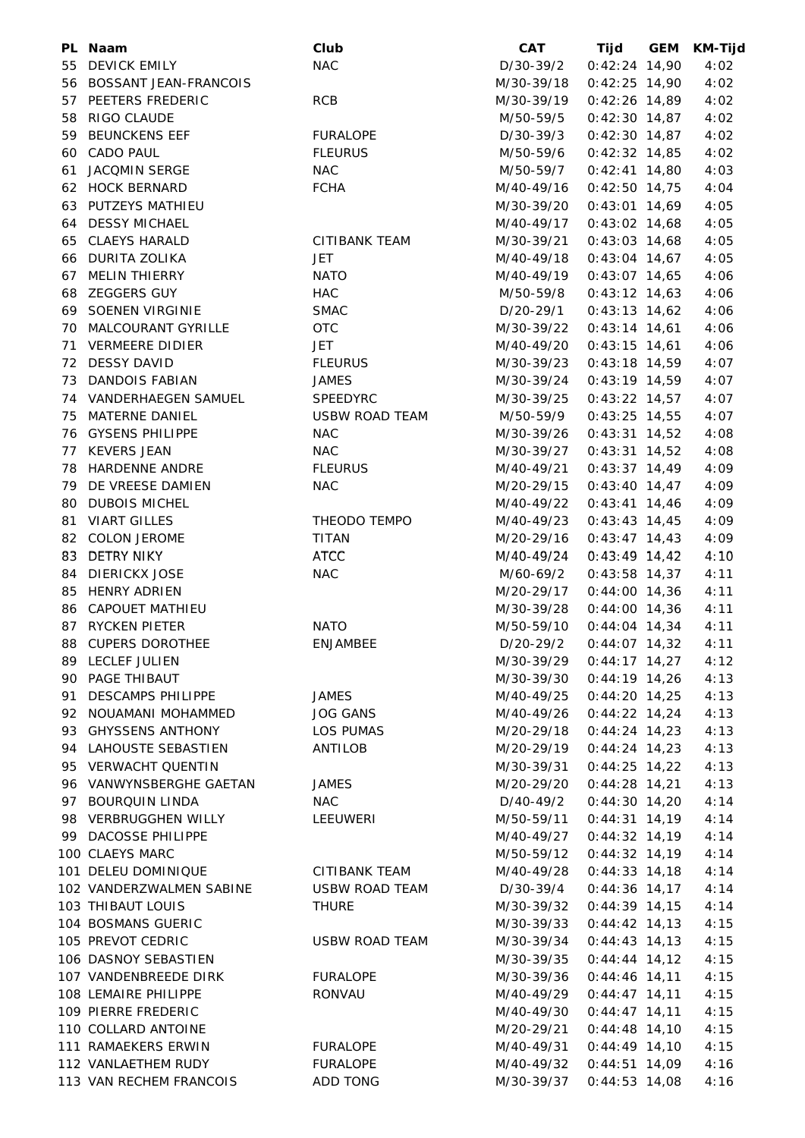| PL Naam                                 | Club                  | <b>CAT</b>                | Tijd            | GEM | <b>KM-Tijd</b> |
|-----------------------------------------|-----------------------|---------------------------|-----------------|-----|----------------|
| 55 DEVICK EMILY                         | <b>NAC</b>            | D/30-39/2                 | $0:42:24$ 14,90 |     | 4:02           |
| 56 BOSSANT JEAN-FRANCOIS                |                       | M/30-39/18                | $0:42:25$ 14,90 |     | 4:02           |
| 57 PEETERS FREDERIC                     | <b>RCB</b>            | M/30-39/19                | $0:42:26$ 14,89 |     | 4:02           |
| 58 RIGO CLAUDE                          |                       | M/50-59/5                 | $0:42:30$ 14,87 |     | 4:02           |
| 59 BEUNCKENS EEF                        | <b>FURALOPE</b>       | D/30-39/3                 | $0:42:30$ 14,87 |     | 4:02           |
| 60 CADO PAUL                            | <b>FLEURUS</b>        | M/50-59/6                 | $0:42:32$ 14,85 |     | 4:02           |
| 61 JACQMIN SERGE                        | <b>NAC</b>            | M/50-59/7                 | $0:42:41$ 14,80 |     | 4:03           |
| 62 HOCK BERNARD                         | <b>FCHA</b>           | M/40-49/16                | $0:42:50$ 14,75 |     | 4:04           |
| 63 PUTZEYS MATHIEU                      |                       | M/30-39/20                | $0:43:01$ 14,69 |     | 4:05           |
| 64 DESSY MICHAEL                        |                       | M/40-49/17                | $0:43:02$ 14,68 |     | 4:05           |
| 65 CLAEYS HARALD                        | <b>CITIBANK TEAM</b>  | M/30-39/21                | $0:43:03$ 14,68 |     | 4:05           |
| 66 DURITA ZOLIKA                        | <b>JET</b>            | M/40-49/18                | $0:43:04$ 14,67 |     | 4:05           |
| 67 MELIN THIERRY                        | <b>NATO</b>           | M/40-49/19                | $0:43:07$ 14,65 |     | 4:06           |
| 68 ZEGGERS GUY                          | <b>HAC</b>            | M/50-59/8                 | $0:43:12$ 14,63 |     | 4:06           |
| 69 SOENEN VIRGINIE                      | <b>SMAC</b>           | D/20-29/1                 | $0:43:13$ 14,62 |     | 4:06           |
| 70 MALCOURANT GYRILLE                   | <b>OTC</b>            | M/30-39/22                | $0:43:14$ 14,61 |     | 4:06           |
| 71 VERMEERE DIDIER                      | JET                   | M/40-49/20                | $0:43:15$ 14,61 |     | 4:06           |
| 72 DESSY DAVID                          | <b>FLEURUS</b>        | M/30-39/23                |                 |     | 4:07           |
|                                         |                       | M/30-39/24                | $0:43:18$ 14,59 |     | 4:07           |
| 73 DANDOIS FABIAN                       | <b>JAMES</b>          |                           | $0:43:19$ 14,59 |     |                |
| 74 VANDERHAEGEN SAMUEL                  | SPEEDYRC              | M/30-39/25                | $0:43:22$ 14,57 |     | 4:07           |
| 75 MATERNE DANIEL                       | <b>USBW ROAD TEAM</b> | M/50-59/9                 | $0:43:25$ 14,55 |     | 4:07           |
| 76 GYSENS PHILIPPE                      | <b>NAC</b>            | M/30-39/26                | $0:43:31$ 14,52 |     | 4:08           |
| 77 KEVERS JEAN                          | <b>NAC</b>            | M/30-39/27                | $0:43:31$ 14,52 |     | 4:08           |
| 78 HARDENNE ANDRE                       | <b>FLEURUS</b>        | M/40-49/21                | $0:43:37$ 14,49 |     | 4:09           |
| 79 DE VREESE DAMIEN                     | <b>NAC</b>            | M/20-29/15                | $0:43:40$ 14,47 |     | 4:09           |
| 80 DUBOIS MICHEL                        |                       | M/40-49/22                | $0:43:41$ 14,46 |     | 4:09           |
| 81 VIART GILLES                         | THEODO TEMPO          | M/40-49/23                | $0:43:43$ 14,45 |     | 4:09           |
| 82 COLON JEROME                         | <b>TITAN</b>          | M/20-29/16                | $0:43:47$ 14,43 |     | 4:09           |
| 83 DETRY NIKY                           | <b>ATCC</b>           | M/40-49/24                | $0:43:49$ 14,42 |     | 4:10           |
| 84 DIERICKX JOSE                        | <b>NAC</b>            | M/60-69/2                 | $0:43:58$ 14,37 |     | 4:11           |
| 85 HENRY ADRIEN                         |                       | M/20-29/17                | $0:44:00$ 14,36 |     | 4:11           |
| 86 CAPOUET MATHIEU                      |                       | M/30-39/28                | $0:44:00$ 14,36 |     | 4:11           |
| 87 RYCKEN PIETER                        | <b>NATO</b>           | M/50-59/10                | $0:44:04$ 14,34 |     | 4:11           |
| 88 CUPERS DOROTHEE                      | <b>ENJAMBEE</b>       | $D/20-29/2$ 0:44:07 14,32 |                 |     | 4:11           |
| 89 LECLEF JULIEN                        |                       | M/30-39/29 0:44:17 14,27  |                 |     | 4:12           |
| 90 PAGE THIBAUT                         |                       | M/30-39/30 0:44:19 14,26  |                 |     | 4:13           |
| 91 DESCAMPS PHILIPPE                    | <b>JAMES</b>          | M/40-49/25 0:44:20 14,25  |                 |     | 4:13           |
| 92 NOUAMANI MOHAMMED                    | JOG GANS              | M/40-49/26                | $0:44:22$ 14,24 |     | 4:13           |
| 93 GHYSSENS ANTHONY                     | LOS PUMAS             | M/20-29/18                | $0:44:24$ 14,23 |     | 4:13           |
| 94 LAHOUSTE SEBASTIEN                   | ANTILOB               | M/20-29/19                | $0:44:24$ 14,23 |     | 4:13           |
| 95 VERWACHT QUENTIN                     |                       | M/30-39/31                | $0:44:25$ 14,22 |     | 4:13           |
| 96 VANWYNSBERGHE GAETAN                 | JAMES                 | M/20-29/20                | $0:44:28$ 14,21 |     | 4:13           |
| 97 BOURQUIN LINDA                       | NAC                   | D/40-49/2                 | $0:44:30$ 14,20 |     | 4:14           |
| 98 VERBRUGGHEN WILLY                    | LEEUWERI              | M/50-59/11 0:44:31 14,19  |                 |     | 4:14           |
| 99 DACOSSE PHILIPPE                     |                       | M/40-49/27                | $0:44:32$ 14,19 |     | 4:14           |
| 100 CLAEYS MARC                         |                       | M/50-59/12                | $0:44:32$ 14,19 |     | 4:14           |
| 101 DELEU DOMINIQUE                     | CITIBANK TEAM         | M/40-49/28 0:44:33 14,18  |                 |     | 4:14           |
| 102 VANDERZWALMEN SABINE USBW ROAD TEAM |                       | D/30-39/4                 | $0:44:36$ 14,17 |     | 4:14           |
| 103 THIBAUT LOUIS                       | THURE                 | M/30-39/32 0:44:39 14,15  |                 |     | 4:14           |
| 104 BOSMANS GUERIC                      |                       | M/30-39/33                | $0:44:42$ 14,13 |     | 4:15           |
| 105 PREVOT CEDRIC                       | USBW ROAD TEAM        | M/30-39/34                | $0:44:43$ 14,13 |     | 4:15           |
| 106 DASNOY SEBASTIEN                    |                       | M/30-39/35                | $0:44:44$ 14,12 |     | 4:15           |
| 107 VANDENBREEDE DIRK                   | FURALOPE              | M/30-39/36                | $0:44:46$ 14,11 |     | 4:15           |
| 108 LEMAIRE PHILIPPE                    | RONVAU                | M/40-49/29                | $0:44:47$ 14,11 |     | 4:15           |
| 109 PIERRE FREDERIC                     |                       | M/40-49/30                | $0:44:47$ 14,11 |     | 4:15           |
| 110 COLLARD ANTOINE                     |                       | M/20-29/21                | $0:44:48$ 14,10 |     | 4:15           |
| 111 RAMAEKERS ERWIN                     | FURALOPE              | M/40-49/31                | $0:44:49$ 14,10 |     | 4:15           |
| 112 VANLAETHEM RUDY                     | FURALOPE              | M/40-49/32 0:44:51 14,09  |                 |     | 4:16           |
| 113 VAN RECHEM FRANCOIS                 | ADD TONG              | M/30-39/37                | $0:44:53$ 14,08 |     | 4:16           |
|                                         |                       |                           |                 |     |                |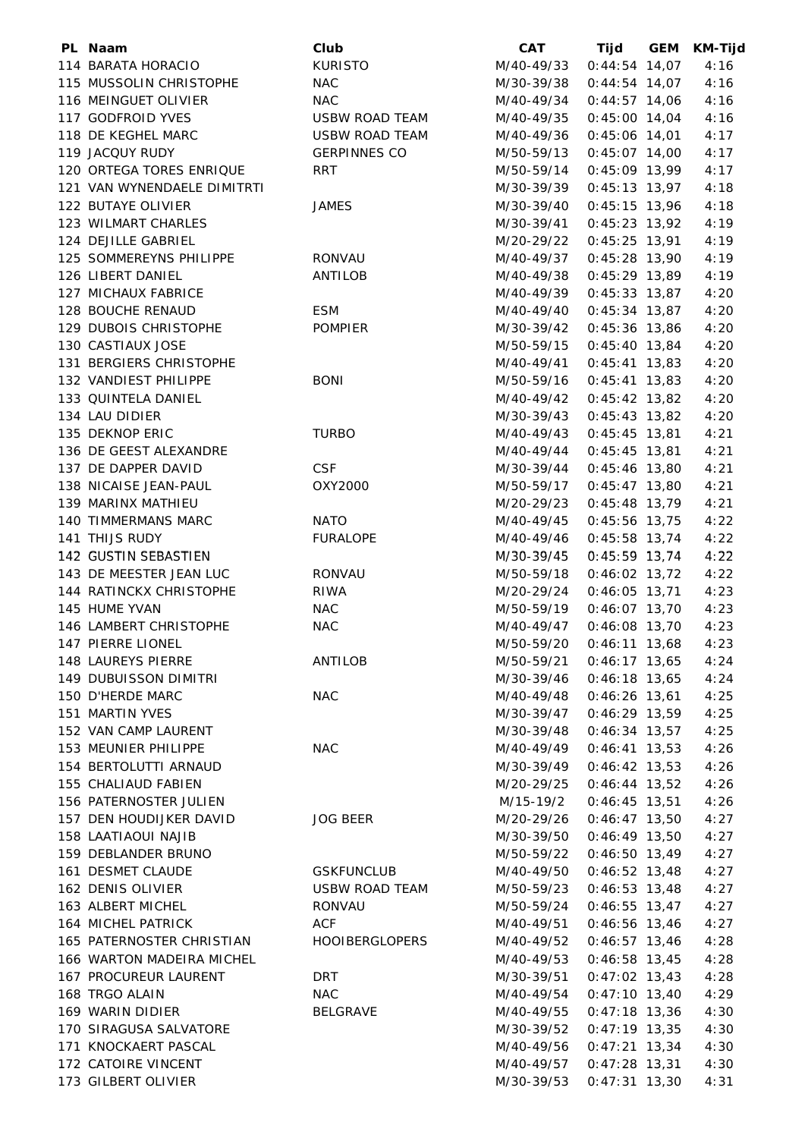| PL Naam                     | Club                         | <b>CAT</b>               | Tijd            | GEM | KM-Tijd |
|-----------------------------|------------------------------|--------------------------|-----------------|-----|---------|
| 114 BARATA HORACIO          | <b>KURISTO</b>               | M/40-49/33               | $0:44:54$ 14,07 |     | 4:16    |
| 115 MUSSOLIN CHRISTOPHE     | <b>NAC</b>                   | M/30-39/38               | $0:44:54$ 14,07 |     | 4:16    |
| 116 MEINGUET OLIVIER        | <b>NAC</b>                   | M/40-49/34               | $0:44:57$ 14,06 |     | 4:16    |
| 117 GODFROID YVES           | <b>USBW ROAD TEAM</b>        | M/40-49/35               | $0:45:00$ 14,04 |     | 4:16    |
| 118 DE KEGHEL MARC          | <b>USBW ROAD TEAM</b>        | M/40-49/36               | $0:45:06$ 14,01 |     | 4:17    |
| 119 JACQUY RUDY             | <b>GERPINNES CO</b>          | M/50-59/13               | $0:45:07$ 14,00 |     | 4:17    |
| 120 ORTEGA TORES ENRIQUE    | <b>RRT</b>                   | M/50-59/14               | $0:45:09$ 13,99 |     | 4:17    |
| 121 VAN WYNENDAELE DIMITRTI |                              | M/30-39/39               | $0:45:13$ 13,97 |     | 4:18    |
| 122 BUTAYE OLIVIER          | <b>JAMES</b>                 | M/30-39/40               | $0:45:15$ 13,96 |     | 4:18    |
| 123 WILMART CHARLES         |                              | M/30-39/41               | $0:45:23$ 13,92 |     | 4:19    |
| 124 DEJILLE GABRIEL         |                              | M/20-29/22               | $0:45:25$ 13,91 |     | 4:19    |
| 125 SOMMEREYNS PHILIPPE     | RONVAU                       | M/40-49/37               | $0:45:28$ 13,90 |     | 4:19    |
| 126 LIBERT DANIEL           | ANTILOB                      | M/40-49/38               | $0:45:29$ 13,89 |     | 4:19    |
| 127 MICHAUX FABRICE         |                              | M/40-49/39               | $0:45:33$ 13,87 |     | 4:20    |
| 128 BOUCHE RENAUD           | <b>ESM</b>                   | M/40-49/40               | $0:45:34$ 13,87 |     | 4:20    |
| 129 DUBOIS CHRISTOPHE       |                              |                          |                 |     |         |
|                             | <b>POMPIER</b>               | M/30-39/42               | $0:45:36$ 13,86 |     | 4:20    |
| 130 CASTIAUX JOSE           |                              | M/50-59/15               | $0:45:40$ 13,84 |     | 4:20    |
| 131 BERGIERS CHRISTOPHE     |                              | M/40-49/41               | $0:45:41$ 13,83 |     | 4:20    |
| 132 VANDIEST PHILIPPE       | <b>BONI</b>                  | M/50-59/16               | $0:45:41$ 13,83 |     | 4:20    |
| 133 QUINTELA DANIEL         |                              | M/40-49/42               | $0:45:42$ 13,82 |     | 4:20    |
| 134 LAU DIDIER              |                              | M/30-39/43               | $0:45:43$ 13,82 |     | 4:20    |
| 135 DEKNOP ERIC             | <b>TURBO</b>                 | M/40-49/43               | $0:45:45$ 13,81 |     | 4:21    |
| 136 DE GEEST ALEXANDRE      |                              | M/40-49/44               | $0:45:45$ 13,81 |     | 4:21    |
| 137 DE DAPPER DAVID         | <b>CSF</b>                   | M/30-39/44               | $0:45:46$ 13,80 |     | 4:21    |
| 138 NICAISE JEAN-PAUL       | OXY2000                      | M/50-59/17               | $0:45:47$ 13,80 |     | 4:21    |
| 139 MARINX MATHIEU          |                              | M/20-29/23               | $0:45:48$ 13,79 |     | 4:21    |
| 140 TIMMERMANS MARC         | <b>NATO</b>                  | M/40-49/45               | $0:45:56$ 13,75 |     | 4:22    |
| 141 THIJS RUDY              | <b>FURALOPE</b>              | M/40-49/46               | $0:45:58$ 13,74 |     | 4:22    |
| 142 GUSTIN SEBASTIEN        |                              | M/30-39/45               | $0:45:59$ 13,74 |     | 4:22    |
| 143 DE MEESTER JEAN LUC     | <b>RONVAU</b>                | M/50-59/18               | $0:46:02$ 13,72 |     | 4:22    |
| 144 RATINCKX CHRISTOPHE     | <b>RIWA</b>                  | M/20-29/24               | $0:46:05$ 13,71 |     | 4:23    |
| 145 HUME YVAN               | <b>NAC</b>                   | M/50-59/19               | $0:46:07$ 13,70 |     | 4:23    |
| 146 LAMBERT CHRISTOPHE      | <b>NAC</b>                   | M/40-49/47               | $0:46:08$ 13,70 |     | 4:23    |
| 147 PIERRE LIONEL           |                              | M/50-59/20               | $0:46:11$ 13,68 |     | 4:23    |
| 148 LAUREYS PIERRE          | ANTILOB                      | M/50-59/21 0:46:17 13,65 |                 |     | 4:24    |
| 149 DUBUISSON DIMITRI       |                              | M/30-39/46 0:46:18 13,65 |                 |     | 4:24    |
| 150 D'HERDE MARC            | <b>NAC</b>                   | M/40-49/48               | $0:46:26$ 13,61 |     | 4:25    |
| 151 MARTIN YVES             |                              | M/30-39/47               | $0:46:29$ 13,59 |     | 4:25    |
| 152 VAN CAMP LAURENT        |                              | M/30-39/48               | $0:46:34$ 13,57 |     | 4:25    |
| 153 MEUNIER PHILIPPE        | <b>NAC</b>                   | M/40-49/49               | $0:46:41$ 13,53 |     | 4:26    |
| 154 BERTOLUTTI ARNAUD       |                              | M/30-39/49               | $0:46:42$ 13,53 |     | 4:26    |
| 155 CHALIAUD FABIEN         |                              | M/20-29/25               | $0:46:44$ 13,52 |     | 4:26    |
| 156 PATERNOSTER JULIEN      |                              | M/15-19/2                | $0:46:45$ 13,51 |     | 4:26    |
| 157 DEN HOUDIJKER DAVID     | JOG BEER                     | M/20-29/26               | $0:46:47$ 13,50 |     | 4:27    |
| 158 LAATIAOUI NAJIB         |                              | M/30-39/50               | $0:46:49$ 13,50 |     | 4:27    |
| 159 DEBLANDER BRUNO         |                              | M/50-59/22               | $0:46:50$ 13,49 |     | 4:27    |
| 161 DESMET CLAUDE           |                              |                          |                 |     | 4:27    |
| 162 DENIS OLIVIER           | GSKFUNCLUB<br>USBW ROAD TEAM | M/40-49/50               | $0:46:52$ 13,48 |     |         |
|                             |                              | M/50-59/23               | $0:46:53$ 13,48 |     | 4:27    |
| 163 ALBERT MICHEL           | RONVAU                       | M/50-59/24               | $0:46:55$ 13,47 |     | 4:27    |
| 164 MICHEL PATRICK          | ACF                          | M/40-49/51               | $0:46:56$ 13,46 |     | 4:27    |
| 165 PATERNOSTER CHRISTIAN   | HOOIBERGLOPERS               | M/40-49/52               | $0:46:57$ 13,46 |     | 4:28    |
| 166 WARTON MADEIRA MICHEL   |                              | M/40-49/53               | $0:46:58$ 13,45 |     | 4:28    |
| 167 PROCUREUR LAURENT       | DRT                          | M/30-39/51               | $0:47:02$ 13,43 |     | 4:28    |
| 168 TRGO ALAIN              | <b>NAC</b>                   | M/40-49/54               | $0:47:10$ 13,40 |     | 4:29    |
| 169 WARIN DIDIER            | BELGRAVE                     | M/40-49/55               | $0:47:18$ 13,36 |     | 4:30    |
| 170 SIRAGUSA SALVATORE      |                              | M/30-39/52               | $0:47:19$ 13,35 |     | 4:30    |
| 171 KNOCKAERT PASCAL        |                              | M/40-49/56               | $0:47:21$ 13,34 |     | 4:30    |
| 172 CATOIRE VINCENT         |                              | M/40-49/57               | $0:47:28$ 13,31 |     | 4:30    |
| 173 GILBERT OLIVIER         |                              | M/30-39/53               | $0:47:31$ 13,30 |     | 4:31    |
|                             |                              |                          |                 |     |         |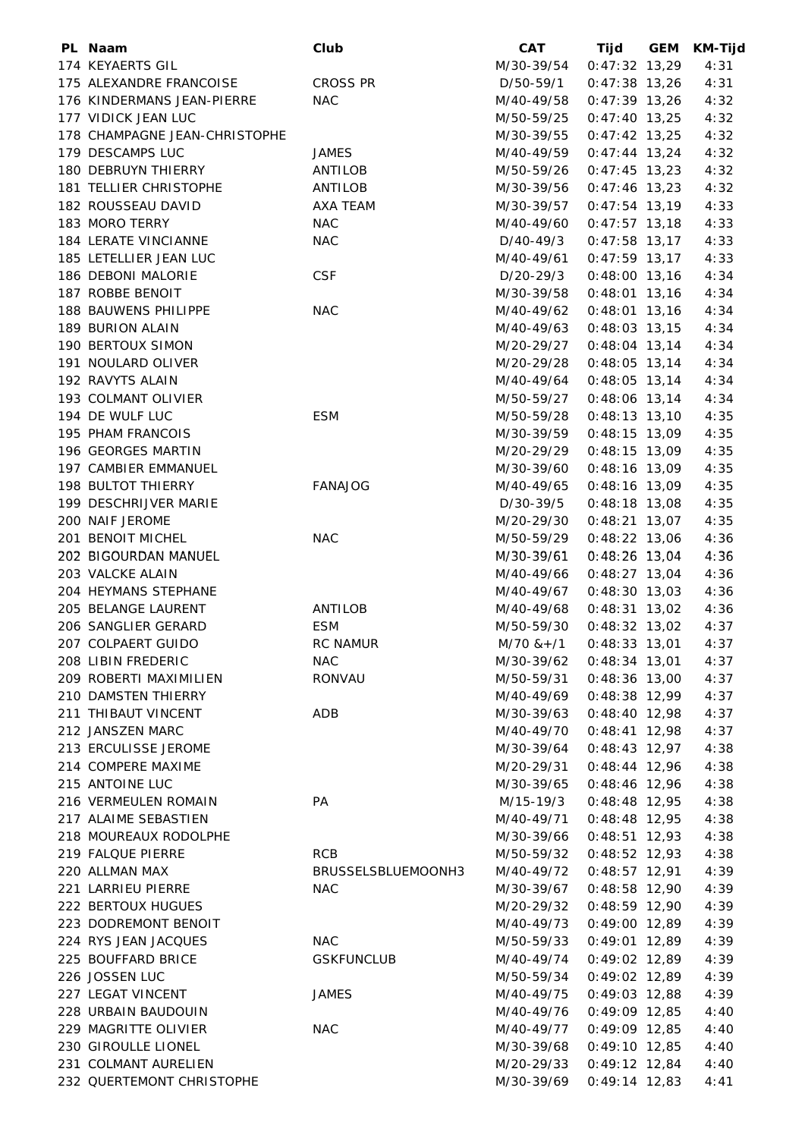| PL Naam                       | Club               | <b>CAT</b>                    | Tijd            | <b>GEM</b> | <b>KM-Tijd</b> |
|-------------------------------|--------------------|-------------------------------|-----------------|------------|----------------|
| 174 KEYAERTS GIL              |                    | M/30-39/54                    | $0:47:32$ 13,29 |            | 4:31           |
| 175 ALEXANDRE FRANCOISE       | <b>CROSS PR</b>    | D/50-59/1                     | $0:47:38$ 13,26 |            | 4:31           |
| 176 KINDERMANS JEAN-PIERRE    | <b>NAC</b>         | M/40-49/58                    | $0:47:39$ 13,26 |            | 4:32           |
| 177 VIDICK JEAN LUC           |                    | M/50-59/25                    | 0:47:40 13,25   |            | 4:32           |
| 178 CHAMPAGNE JEAN-CHRISTOPHE |                    | M/30-39/55                    | $0:47:42$ 13,25 |            | 4:32           |
| 179 DESCAMPS LUC              | JAMES              | M/40-49/59                    | $0:47:44$ 13,24 |            | 4:32           |
| 180 DEBRUYN THIERRY           | ANTILOB            | M/50-59/26                    | $0:47:45$ 13,23 |            | 4:32           |
| 181 TELLIER CHRISTOPHE        | ANTILOB            | M/30-39/56                    | $0:47:46$ 13,23 |            | 4:32           |
| 182 ROUSSEAU DAVID            | AXA TEAM           | M/30-39/57                    | $0:47:54$ 13,19 |            | 4:33           |
| 183 MORO TERRY                | <b>NAC</b>         | M/40-49/60                    | $0:47:57$ 13,18 |            | 4:33           |
| 184 LERATE VINCIANNE          | <b>NAC</b>         | D/40-49/3                     | $0:47:58$ 13,17 |            | 4:33           |
| 185 LETELLIER JEAN LUC        |                    | M/40-49/61                    | $0:47:59$ 13,17 |            | 4:33           |
| 186 DEBONI MALORIE            | <b>CSF</b>         | D/20-29/3                     | $0:48:00$ 13,16 |            | 4:34           |
| 187 ROBBE BENOIT              |                    | M/30-39/58                    | $0:48:01$ 13,16 |            | 4:34           |
| 188 BAUWENS PHILIPPE          | NAC                | M/40-49/62                    | $0:48:01$ 13,16 |            | 4:34           |
| 189 BURION ALAIN              |                    | M/40-49/63                    | $0:48:03$ 13,15 |            | 4:34           |
| 190 BERTOUX SIMON             |                    |                               |                 |            |                |
|                               |                    | M/20-29/27                    | $0:48:04$ 13,14 |            | 4:34           |
| 191 NOULARD OLIVER            |                    | M/20-29/28                    | $0:48:05$ 13,14 |            | 4:34           |
| 192 RAVYTS ALAIN              |                    | M/40-49/64                    | $0:48:05$ 13,14 |            | 4:34           |
| 193 COLMANT OLIVIER           |                    | M/50-59/27                    | $0:48:06$ 13,14 |            | 4:34           |
| 194 DE WULF LUC               | <b>ESM</b>         | M/50-59/28                    | $0:48:13$ 13,10 |            | 4:35           |
| 195 PHAM FRANCOIS             |                    | M/30-39/59                    | $0:48:15$ 13,09 |            | 4:35           |
| 196 GEORGES MARTIN            |                    | M/20-29/29                    | $0:48:15$ 13,09 |            | 4:35           |
| 197 CAMBIER EMMANUEL          |                    | M/30-39/60                    | $0:48:16$ 13,09 |            | 4:35           |
| <b>198 BULTOT THIERRY</b>     | <b>FANAJOG</b>     | M/40-49/65                    | $0:48:16$ 13,09 |            | 4:35           |
| 199 DESCHRIJVER MARIE         |                    | D/30-39/5                     | $0:48:18$ 13,08 |            | 4:35           |
| 200 NAIF JEROME               |                    | M/20-29/30                    | $0:48:21$ 13,07 |            | 4:35           |
| 201 BENOIT MICHEL             | <b>NAC</b>         | M/50-59/29                    | $0:48:22$ 13,06 |            | 4:36           |
| 202 BIGOURDAN MANUEL          |                    | M/30-39/61                    | $0:48:26$ 13,04 |            | 4:36           |
| 203 VALCKE ALAIN              |                    | M/40-49/66                    | $0:48:27$ 13,04 |            | 4:36           |
| 204 HEYMANS STEPHANE          |                    | M/40-49/67                    | $0:48:30$ 13,03 |            | 4:36           |
| 205 BELANGE LAURENT           | ANTILOB            | M/40-49/68                    | $0:48:31$ 13,02 |            | 4:36           |
| 206 SANGLIER GERARD           | <b>ESM</b>         | M/50-59/30                    | $0:48:32$ 13,02 |            | 4:37           |
| 207 COLPAERT GUIDO            | <b>RC NAMUR</b>    | $M/70$ & + $/1$ 0:48:33 13,01 |                 |            | 4:37           |
| 208 LIBIN FREDERIC            | NAC                | M/30-39/62 0:48:34 13,01      |                 |            | 4:37           |
| 209 ROBERTI MAXIMILIEN        | RONVAU             | M/50-59/31 0:48:36 13,00      |                 |            | 4:37           |
| 210 DAMSTEN THIERRY           |                    | M/40-49/69  0:48:38  12,99    |                 |            | 4:37           |
| 211 THIBAUT VINCENT           | ADB                | M/30-39/63                    | $0:48:40$ 12,98 |            | 4:37           |
| 212 JANSZEN MARC              |                    | M/40-49/70                    | $0:48:41$ 12,98 |            | 4:37           |
| 213 ERCULISSE JEROME          |                    | M/30-39/64                    | $0:48:43$ 12,97 |            | 4:38           |
| 214 COMPERE MAXIME            |                    | M/20-29/31                    | $0:48:44$ 12,96 |            | 4:38           |
| 215 ANTOINE LUC               |                    | M/30-39/65                    | $0:48:46$ 12,96 |            | 4:38           |
| 216 VERMEULEN ROMAIN          | PA                 | M/15-19/3                     | $0:48:48$ 12,95 |            | 4:38           |
| 217 ALAIME SEBASTIEN          |                    | M/40-49/71                    | $0:48:48$ 12,95 |            | 4:38           |
| 218 MOUREAUX RODOLPHE         |                    | M/30-39/66                    | $0:48:51$ 12,93 |            | 4:38           |
| 219 FALQUE PIERRE             | <b>RCB</b>         | M/50-59/32                    | $0:48:52$ 12,93 |            | 4:38           |
| 220 ALLMAN MAX                | BRUSSELSBLUEMOONH3 | M/40-49/72                    | $0:48:57$ 12,91 |            | 4:39           |
| 221 LARRIEU PIERRE            | <b>NAC</b>         | M/30-39/67                    | $0:48:58$ 12,90 |            | 4:39           |
| <b>222 BERTOUX HUGUES</b>     |                    | M/20-29/32                    | $0:48:59$ 12,90 |            | 4:39           |
| 223 DODREMONT BENOIT          |                    |                               | $0:49:00$ 12,89 |            | 4:39           |
| 224 RYS JEAN JACQUES          | <b>NAC</b>         | M/40-49/73                    | $0:49:01$ 12,89 |            | 4:39           |
|                               |                    | M/50-59/33                    |                 |            |                |
| 225 BOUFFARD BRICE            | <b>GSKFUNCLUB</b>  | M/40-49/74                    | $0:49:02$ 12,89 |            | 4:39           |
| 226 JOSSEN LUC                |                    | M/50-59/34                    | $0:49:02$ 12,89 |            | 4:39           |
| 227 LEGAT VINCENT             | <b>JAMES</b>       | M/40-49/75                    | $0:49:03$ 12,88 |            | 4:39           |
| 228 URBAIN BAUDOUIN           |                    | M/40-49/76                    | $0:49:09$ 12,85 |            | 4:40           |
| 229 MAGRITTE OLIVIER          | <b>NAC</b>         | M/40-49/77                    | $0:49:09$ 12,85 |            | 4:40           |
| 230 GIROULLE LIONEL           |                    | M/30-39/68                    | $0:49:10$ 12,85 |            | 4:40           |
| 231 COLMANT AURELIEN          |                    | M/20-29/33                    | $0:49:12$ 12,84 |            | 4:40           |
| 232 QUERTEMONT CHRISTOPHE     |                    | M/30-39/69                    | $0:49:14$ 12,83 |            | 4:41           |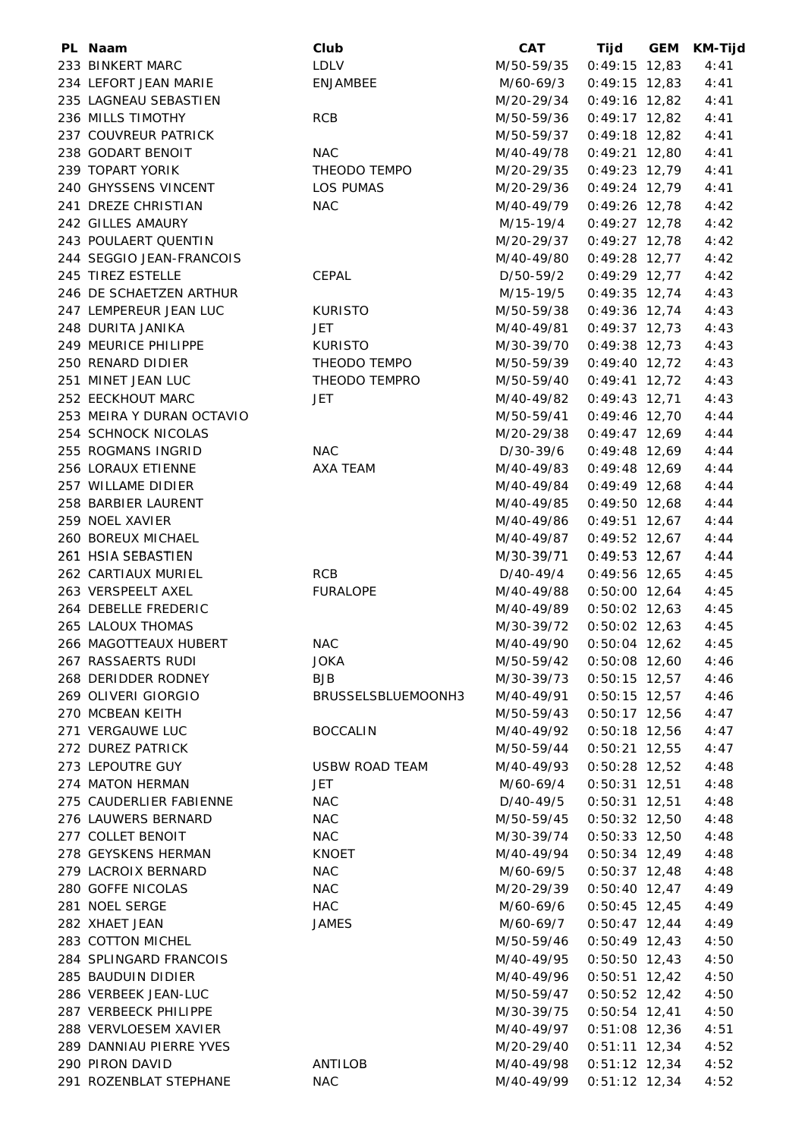| PL Naam                   | Club                  | <b>CAT</b>               | Tijd            | GEM | <b>KM-Tijd</b> |
|---------------------------|-----------------------|--------------------------|-----------------|-----|----------------|
| 233 BINKERT MARC          | LDLV                  | M/50-59/35               | $0:49:15$ 12,83 |     | 4:41           |
| 234 LEFORT JEAN MARIE     | ENJAMBEE              | M/60-69/3                | $0:49:15$ 12,83 |     | 4:41           |
| 235 LAGNEAU SEBASTIEN     |                       | M/20-29/34               | $0:49:16$ 12,82 |     | 4:41           |
| 236 MILLS TIMOTHY         | <b>RCB</b>            | M/50-59/36               | $0:49:17$ 12,82 |     | 4:41           |
| 237 COUVREUR PATRICK      |                       | M/50-59/37               | $0:49:18$ 12,82 |     | 4:41           |
| 238 GODART BENOIT         | <b>NAC</b>            | M/40-49/78               | $0:49:21$ 12,80 |     | 4:41           |
| 239 TOPART YORIK          | THEODO TEMPO          | M/20-29/35               | $0:49:23$ 12,79 |     | 4:41           |
| 240 GHYSSENS VINCENT      | LOS PUMAS             | M/20-29/36               | $0:49:24$ 12,79 |     | 4:41           |
| 241 DREZE CHRISTIAN       | <b>NAC</b>            | M/40-49/79               | $0:49:26$ 12,78 |     | 4:42           |
| 242 GILLES AMAURY         |                       | M/15-19/4                | $0:49:27$ 12,78 |     | 4:42           |
| 243 POULAERT QUENTIN      |                       | M/20-29/37               | $0:49:27$ 12,78 |     | 4:42           |
| 244 SEGGIO JEAN-FRANCOIS  |                       | M/40-49/80               | $0:49:28$ 12,77 |     | 4:42           |
| 245 TIREZ ESTELLE         |                       |                          |                 |     | 4:42           |
|                           | CEPAL                 | D/50-59/2                | $0:49:29$ 12,77 |     |                |
| 246 DE SCHAETZEN ARTHUR   |                       | M/15-19/5                | $0:49:35$ 12,74 |     | 4:43           |
| 247 LEMPEREUR JEAN LUC    | <b>KURISTO</b>        | M/50-59/38               | $0:49:36$ 12,74 |     | 4:43           |
| 248 DURITA JANIKA         | JET                   | M/40-49/81               | $0:49:37$ 12,73 |     | 4:43           |
| 249 MEURICE PHILIPPE      | <b>KURISTO</b>        | M/30-39/70               | $0:49:38$ 12,73 |     | 4:43           |
| 250 RENARD DIDIER         | THEODO TEMPO          | M/50-59/39               | $0:49:40$ 12,72 |     | 4:43           |
| 251 MINET JEAN LUC        | THEODO TEMPRO         | M/50-59/40               | $0:49:41$ 12,72 |     | 4:43           |
| 252 EECKHOUT MARC         | JET                   | M/40-49/82               | $0:49:43$ 12,71 |     | 4:43           |
| 253 MEIRA Y DURAN OCTAVIO |                       | M/50-59/41               | $0:49:46$ 12,70 |     | 4:44           |
| 254 SCHNOCK NICOLAS       |                       | M/20-29/38               | $0:49:47$ 12,69 |     | 4:44           |
| 255 ROGMANS INGRID        | <b>NAC</b>            | D/30-39/6                | $0:49:48$ 12,69 |     | 4:44           |
| 256 LORAUX ETIENNE        | AXA TEAM              | M/40-49/83               | $0:49:48$ 12,69 |     | 4:44           |
| 257 WILLAME DIDIER        |                       | M/40-49/84               | $0:49:49$ 12,68 |     | 4:44           |
| 258 BARBIER LAURENT       |                       | M/40-49/85               | $0:49:50$ 12,68 |     | 4:44           |
| 259 NOEL XAVIER           |                       | M/40-49/86               | $0:49:51$ 12,67 |     | 4:44           |
| 260 BOREUX MICHAEL        |                       | M/40-49/87               | $0:49:52$ 12,67 |     | 4:44           |
| 261 HSIA SEBASTIEN        |                       | M/30-39/71               | $0:49:53$ 12,67 |     | 4:44           |
| 262 CARTIAUX MURIEL       | RCB                   | D/40-49/4                | $0:49:56$ 12,65 |     | 4:45           |
| 263 VERSPEELT AXEL        | <b>FURALOPE</b>       | M/40-49/88               | $0:50:00$ 12,64 |     | 4:45           |
| 264 DEBELLE FREDERIC      |                       | M/40-49/89               | $0:50:02$ 12,63 |     | 4:45           |
| 265 LALOUX THOMAS         |                       | M/30-39/72               | $0:50:02$ 12,63 |     | 4:45           |
| 266 MAGOTTEAUX HUBERT     | NAC                   | M/40-49/90               | $0:50:04$ 12,62 |     | 4:45           |
| 267 RASSAERTS RUDI        | <b>JOKA</b>           | M/50-59/42 0:50:08 12,60 |                 |     | 4:46           |
| 268 DERIDDER RODNEY       | <b>BJB</b>            | M/30-39/73 0:50:15 12,57 |                 |     | 4:46           |
| 269 OLIVERI GIORGIO       | BRUSSELSBLUEMOONH3    | M/40-49/91               | $0:50:15$ 12,57 |     | 4:46           |
| 270 MCBEAN KEITH          |                       | M/50-59/43               | $0:50:17$ 12,56 |     | 4:47           |
| 271 VERGAUWE LUC          | <b>BOCCALIN</b>       | M/40-49/92               | $0:50:18$ 12,56 |     | 4:47           |
| 272 DUREZ PATRICK         |                       | M/50-59/44               | $0:50:21$ 12,55 |     | 4:47           |
| 273 LEPOUTRE GUY          | <b>USBW ROAD TEAM</b> | M/40-49/93               | $0:50:28$ 12,52 |     | 4:48           |
| 274 MATON HERMAN          | JET                   | M/60-69/4                | $0:50:31$ 12,51 |     | 4:48           |
| 275 CAUDERLIER FABIENNE   | <b>NAC</b>            | D/40-49/5                | $0:50:31$ 12,51 |     | 4:48           |
| 276 LAUWERS BERNARD       | <b>NAC</b>            | M/50-59/45               | $0:50:32$ 12,50 |     | 4:48           |
|                           |                       |                          |                 |     |                |
| 277 COLLET BENOIT         | <b>NAC</b>            | M/30-39/74               | $0:50:33$ 12,50 |     | 4:48           |
| 278 GEYSKENS HERMAN       | <b>KNOET</b>          | M/40-49/94               | $0:50:34$ 12,49 |     | 4:48           |
| 279 LACROIX BERNARD       | <b>NAC</b>            | M/60-69/5                | $0:50:37$ 12,48 |     | 4:48           |
| 280 GOFFE NICOLAS         | <b>NAC</b>            | M/20-29/39               | $0:50:40$ 12,47 |     | 4:49           |
| 281 NOEL SERGE            | HAC                   | M/60-69/6                | $0:50:45$ 12,45 |     | 4:49           |
| 282 XHAET JEAN            | <b>JAMES</b>          | M/60-69/7                | $0:50:47$ 12,44 |     | 4:49           |
| 283 COTTON MICHEL         |                       | M/50-59/46               | $0:50:49$ 12,43 |     | 4:50           |
| 284 SPLINGARD FRANCOIS    |                       | M/40-49/95               | $0:50:50$ 12,43 |     | 4:50           |
| 285 BAUDUIN DIDIER        |                       | M/40-49/96               | $0:50:51$ 12,42 |     | 4:50           |
| 286 VERBEEK JEAN-LUC      |                       | M/50-59/47               | $0:50:52$ 12,42 |     | 4:50           |
| 287 VERBEECK PHILIPPE     |                       | M/30-39/75               | $0:50:54$ 12,41 |     | 4:50           |
| 288 VERVLOESEM XAVIER     |                       | M/40-49/97               | $0:51:08$ 12,36 |     | 4:51           |
| 289 DANNIAU PIERRE YVES   |                       | M/20-29/40               | $0:51:11$ 12,34 |     | 4:52           |
| 290 PIRON DAVID           | ANTILOB               | M/40-49/98               | $0:51:12$ 12,34 |     | 4:52           |
| 291 ROZENBLAT STEPHANE    | <b>NAC</b>            | M/40-49/99               | $0:51:12$ 12,34 |     | 4:52           |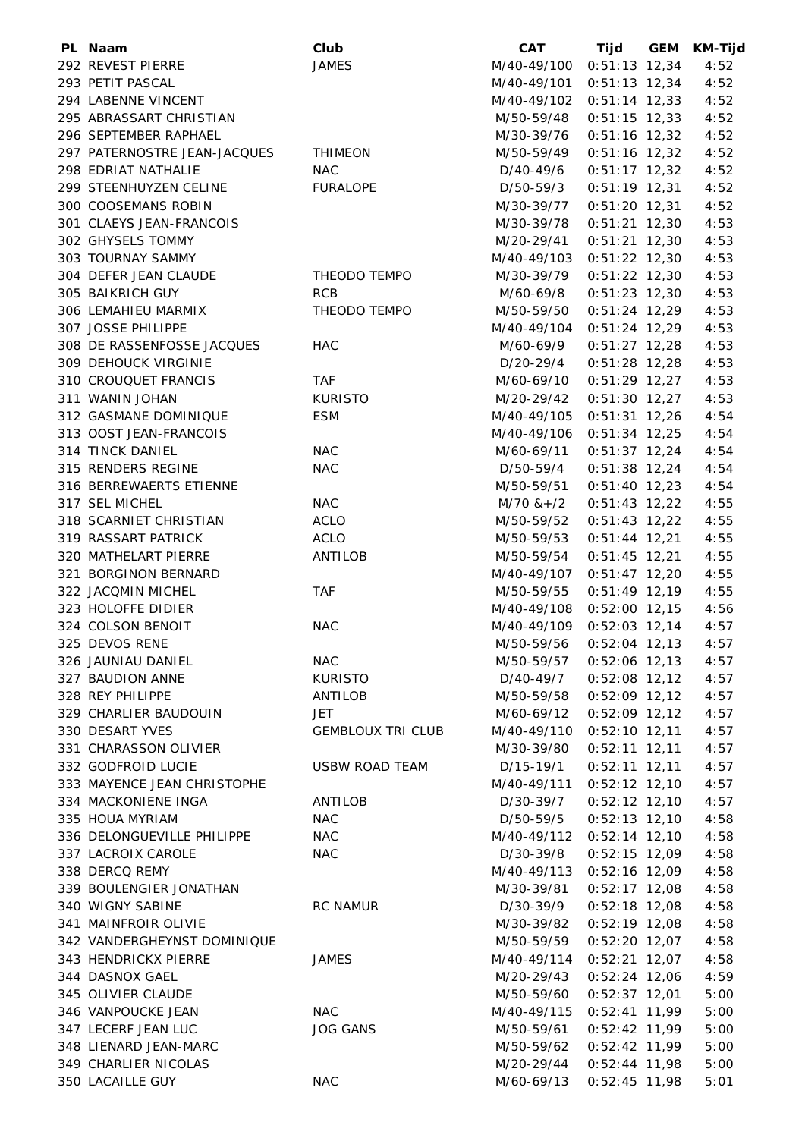| PL Naam                      | Club                     | <b>CAT</b>                 | Tijd            | GEM | KM-Tijd |
|------------------------------|--------------------------|----------------------------|-----------------|-----|---------|
| 292 REVEST PIERRE            | <b>JAMES</b>             | M/40-49/100 0:51:13 12,34  |                 |     | 4:52    |
| 293 PETIT PASCAL             |                          | M/40-49/101 0:51:13 12,34  |                 |     | 4:52    |
| 294 LABENNE VINCENT          |                          | M/40-49/102 0:51:14 12,33  |                 |     | 4:52    |
| 295 ABRASSART CHRISTIAN      |                          | M/50-59/48                 | $0:51:15$ 12,33 |     | 4:52    |
| 296 SEPTEMBER RAPHAEL        |                          | M/30-39/76                 | $0:51:16$ 12,32 |     | 4:52    |
| 297 PATERNOSTRE JEAN-JACQUES | <b>THIMEON</b>           | M/50-59/49                 | $0:51:16$ 12,32 |     | 4:52    |
| 298 EDRIAT NATHALIE          | <b>NAC</b>               | D/40-49/6                  | $0:51:17$ 12,32 |     | 4:52    |
| 299 STEENHUYZEN CELINE       | <b>FURALOPE</b>          | D/50-59/3                  | $0:51:19$ 12,31 |     | 4:52    |
| 300 COOSEMANS ROBIN          |                          | M/30-39/77                 | $0:51:20$ 12,31 |     | 4:52    |
| 301 CLAEYS JEAN-FRANCOIS     |                          | M/30-39/78                 | $0:51:21$ 12,30 |     | 4:53    |
| 302 GHYSELS TOMMY            |                          | M/20-29/41                 | $0:51:21$ 12,30 |     | 4:53    |
| 303 TOURNAY SAMMY            |                          |                            |                 |     | 4:53    |
| 304 DEFER JEAN CLAUDE        | THEODO TEMPO             | M/40-49/103 0:51:22 12,30  |                 |     | 4:53    |
|                              |                          | M/30-39/79                 | $0:51:22$ 12,30 |     |         |
| 305 BAIKRICH GUY             | <b>RCB</b>               | M/60-69/8                  | $0:51:23$ 12,30 |     | 4:53    |
| 306 LEMAHIEU MARMIX          | THEODO TEMPO             | M/50-59/50                 | $0:51:24$ 12,29 |     | 4:53    |
| 307 JOSSE PHILIPPE           |                          | M/40-49/104 0:51:24 12,29  |                 |     | 4:53    |
| 308 DE RASSENFOSSE JACQUES   | <b>HAC</b>               | M/60-69/9                  | $0:51:27$ 12,28 |     | 4:53    |
| 309 DEHOUCK VIRGINIE         |                          | D/20-29/4                  | $0:51:28$ 12,28 |     | 4:53    |
| 310 CROUQUET FRANCIS         | TAF                      | M/60-69/10                 | $0:51:29$ 12,27 |     | 4:53    |
| 311 WANIN JOHAN              | <b>KURISTO</b>           | M/20-29/42                 | $0:51:30$ 12,27 |     | 4:53    |
| 312 GASMANE DOMINIQUE        | <b>ESM</b>               | M/40-49/105                | $0:51:31$ 12,26 |     | 4:54    |
| 313 OOST JEAN-FRANCOIS       |                          | M/40-49/106 0:51:34 12,25  |                 |     | 4:54    |
| 314 TINCK DANIEL             | <b>NAC</b>               | M/60-69/11                 | $0:51:37$ 12,24 |     | 4:54    |
| 315 RENDERS REGINE           | <b>NAC</b>               | D/50-59/4                  | $0:51:38$ 12,24 |     | 4:54    |
| 316 BERREWAERTS ETIENNE      |                          | M/50-59/51                 | $0:51:40$ 12,23 |     | 4:54    |
| 317 SEL MICHEL               | <b>NAC</b>               | $M/70$ & + $/2$            | $0:51:43$ 12,22 |     | 4:55    |
| 318 SCARNIET CHRISTIAN       | <b>ACLO</b>              | M/50-59/52                 | $0:51:43$ 12,22 |     | 4:55    |
| 319 RASSART PATRICK          | <b>ACLO</b>              | M/50-59/53                 | $0:51:44$ 12,21 |     | 4:55    |
| 320 MATHELART PIERRE         | ANTILOB                  | M/50-59/54                 | $0:51:45$ 12,21 |     | 4:55    |
| 321 BORGINON BERNARD         |                          | M/40-49/107 0:51:47 12,20  |                 |     | 4:55    |
| 322 JACQMIN MICHEL           | <b>TAF</b>               | M/50-59/55                 | $0:51:49$ 12,19 |     | 4:55    |
| 323 HOLOFFE DIDIER           |                          | M/40-49/108 0:52:00 12,15  |                 |     | 4:56    |
| 324 COLSON BENOIT            | <b>NAC</b>               | M/40-49/109 0:52:03 12,14  |                 |     | 4:57    |
| 325 DEVOS RENE               |                          | M/50-59/56  0:52:04  12,13 |                 |     | 4:57    |
| 326 JAUNIAU DANIEL           | <b>NAC</b>               | M/50-59/57  0:52:06  12,13 |                 |     | 4:57    |
| 327 BAUDION ANNE             | <b>KURISTO</b>           | D/40-49/7                  | $0:52:08$ 12,12 |     | 4:57    |
| 328 REY PHILIPPE             | ANTILOB                  | M/50-59/58                 | $0:52:09$ 12,12 |     | 4:57    |
| 329 CHARLIER BAUDOUIN        | JET                      | M/60-69/12                 | $0:52:09$ 12,12 |     | 4:57    |
| 330 DESART YVES              | <b>GEMBLOUX TRI CLUB</b> | M/40-49/110                | $0:52:10$ 12,11 |     | 4:57    |
| 331 CHARASSON OLIVIER        |                          | M/30-39/80                 | $0:52:11$ 12,11 |     | 4:57    |
| 332 GODFROID LUCIE           | USBW ROAD TEAM           | D/15-19/1                  | $0:52:11$ 12,11 |     | 4:57    |
| 333 MAYENCE JEAN CHRISTOPHE  |                          | M/40-49/111 0:52:12 12,10  |                 |     | 4:57    |
| 334 MACKONIENE INGA          | ANTILOB                  | D/30-39/7                  | $0:52:12$ 12,10 |     | 4:57    |
| 335 HOUA MYRIAM              | <b>NAC</b>               | D/50-59/5                  | $0:52:13$ 12,10 |     | 4:58    |
| 336 DELONGUEVILLE PHILIPPE   | <b>NAC</b>               | M/40-49/112 0:52:14 12,10  |                 |     | 4:58    |
| 337 LACROIX CAROLE           | <b>NAC</b>               | D/30-39/8                  | $0:52:15$ 12,09 |     | 4:58    |
| 338 DERCQ REMY               |                          | M/40-49/113 0:52:16 12,09  |                 |     | 4:58    |
| 339 BOULENGIER JONATHAN      |                          | M/30-39/81                 | $0:52:17$ 12,08 |     | 4:58    |
| 340 WIGNY SABINE             |                          |                            |                 |     |         |
|                              | <b>RC NAMUR</b>          | D/30-39/9                  | $0:52:18$ 12,08 |     | 4:58    |
| 341 MAINFROIR OLIVIE         |                          | M/30-39/82                 | $0:52:19$ 12,08 |     | 4:58    |
| 342 VANDERGHEYNST DOMINIQUE  |                          | M/50-59/59                 | $0:52:20$ 12,07 |     | 4:58    |
| 343 HENDRICKX PIERRE         | <b>JAMES</b>             | M/40-49/114                | $0:52:21$ 12,07 |     | 4:58    |
| 344 DASNOX GAEL              |                          | M/20-29/43                 | $0:52:24$ 12,06 |     | 4:59    |
| 345 OLIVIER CLAUDE           |                          | M/50-59/60                 | $0:52:37$ 12,01 |     | 5:00    |
| 346 VANPOUCKE JEAN           | <b>NAC</b>               | M/40-49/115 0:52:41 11,99  |                 |     | 5:00    |
| 347 LECERF JEAN LUC          | <b>JOG GANS</b>          | M/50-59/61                 | $0:52:42$ 11,99 |     | 5:00    |
| 348 LIENARD JEAN-MARC        |                          | M/50-59/62                 | $0:52:42$ 11,99 |     | 5:00    |
| 349 CHARLIER NICOLAS         |                          | M/20-29/44                 | $0:52:44$ 11,98 |     | 5:00    |
| 350 LACAILLE GUY             | <b>NAC</b>               | M/60-69/13                 | $0:52:45$ 11,98 |     | 5:01    |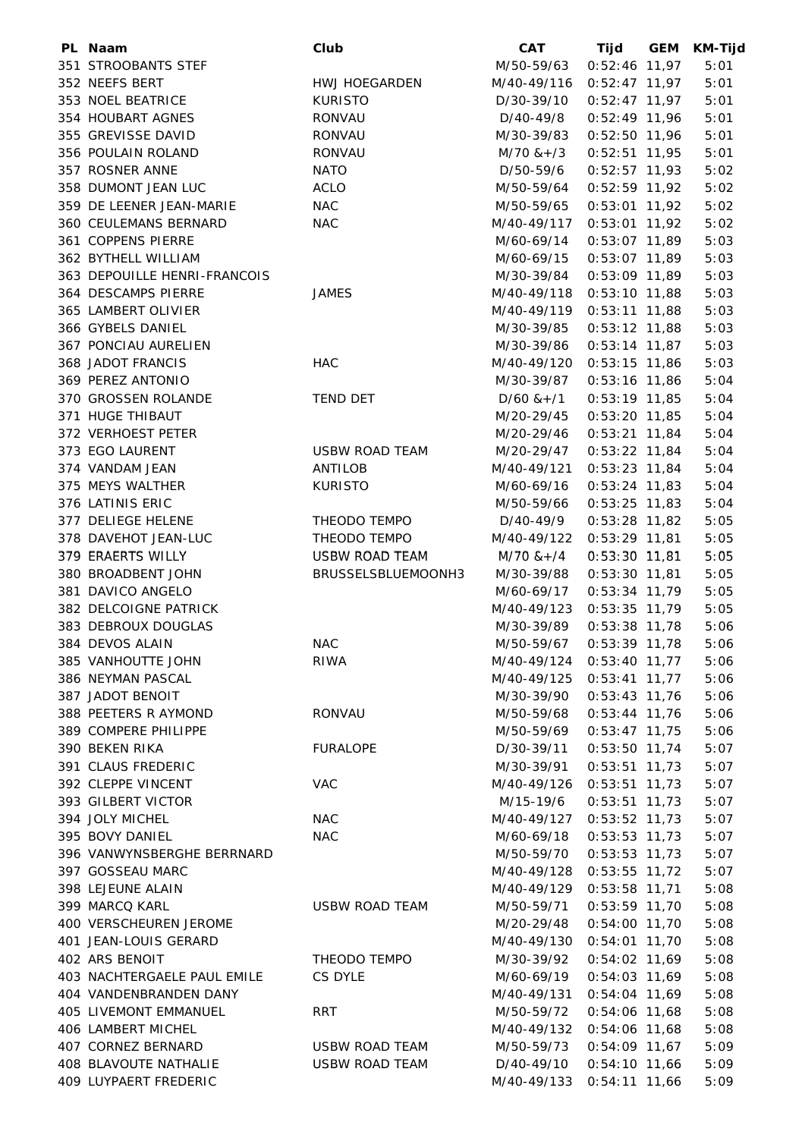| PL Naam                      | Club                  | <b>CAT</b>                  | Tijd            | <b>GEM</b> | <b>KM-Tijd</b> |
|------------------------------|-----------------------|-----------------------------|-----------------|------------|----------------|
| 351 STROOBANTS STEF          |                       | M/50-59/63                  | 0:52:46 11,97   |            | 5:01           |
| 352 NEEFS BERT               | <b>HWJ HOEGARDEN</b>  | M/40-49/116 0:52:47 11,97   |                 |            | 5:01           |
| 353 NOEL BEATRICE            | <b>KURISTO</b>        | D/30-39/10                  | $0:52:47$ 11,97 |            | 5:01           |
| 354 HOUBART AGNES            | RONVAU                | D/40-49/8                   | $0:52:49$ 11,96 |            | 5:01           |
| 355 GREVISSE DAVID           | RONVAU                | M/30-39/83                  | $0:52:50$ 11,96 |            | 5:01           |
| 356 POULAIN ROLAND           | RONVAU                | $M/70$ & +/3                | $0:52:51$ 11,95 |            | 5:01           |
| 357 ROSNER ANNE              | <b>NATO</b>           | D/50-59/6                   | $0:52:57$ 11,93 |            | 5:02           |
| 358 DUMONT JEAN LUC          | <b>ACLO</b>           | M/50-59/64                  | $0:52:59$ 11,92 |            | 5:02           |
| 359 DE LEENER JEAN-MARIE     | <b>NAC</b>            | M/50-59/65                  | $0:53:01$ 11,92 |            | 5:02           |
| 360 CEULEMANS BERNARD        | <b>NAC</b>            | M/40-49/117                 | $0:53:01$ 11,92 |            | 5:02           |
| 361 COPPENS PIERRE           |                       | M/60-69/14                  | $0:53:07$ 11,89 |            | 5:03           |
| 362 BYTHELL WILLIAM          |                       | M/60-69/15                  | $0:53:07$ 11,89 |            | 5:03           |
| 363 DEPOUILLE HENRI-FRANCOIS |                       | M/30-39/84                  | 0:53:09 11,89   |            | 5:03           |
| 364 DESCAMPS PIERRE          | <b>JAMES</b>          | M/40-49/118                 |                 |            | 5:03           |
| 365 LAMBERT OLIVIER          |                       |                             | $0:53:10$ 11,88 |            |                |
|                              |                       | M/40-49/119                 | $0:53:11$ 11,88 |            | 5:03           |
| 366 GYBELS DANIEL            |                       | M/30-39/85                  | $0:53:12$ 11,88 |            | 5:03           |
| 367 PONCIAU AURELIEN         |                       | M/30-39/86                  | $0:53:14$ 11,87 |            | 5:03           |
| 368 JADOT FRANCIS            | <b>HAC</b>            | M/40-49/120 0:53:15 11,86   |                 |            | 5:03           |
| 369 PEREZ ANTONIO            |                       | M/30-39/87                  | $0:53:16$ 11,86 |            | 5:04           |
| 370 GROSSEN ROLANDE          | <b>TEND DET</b>       | $D/60$ & +/1                | $0:53:19$ 11,85 |            | 5:04           |
| 371 HUGE THIBAUT             |                       | M/20-29/45                  | $0:53:20$ 11,85 |            | 5:04           |
| 372 VERHOEST PETER           |                       | M/20-29/46                  | $0:53:21$ 11,84 |            | 5:04           |
| 373 EGO LAURENT              | <b>USBW ROAD TEAM</b> | M/20-29/47                  | $0:53:22$ 11,84 |            | 5:04           |
| 374 VANDAM JEAN              | ANTILOB               | M/40-49/121                 | $0:53:23$ 11,84 |            | 5:04           |
| 375 MEYS WALTHER             | <b>KURISTO</b>        | M/60-69/16                  | $0:53:24$ 11,83 |            | 5:04           |
| 376 LATINIS ERIC             |                       | M/50-59/66                  | $0:53:25$ 11,83 |            | 5:04           |
| 377 DELIEGE HELENE           | THEODO TEMPO          | D/40-49/9                   | $0:53:28$ 11,82 |            | 5:05           |
| 378 DAVEHOT JEAN-LUC         | THEODO TEMPO          | M/40-49/122 0:53:29 11,81   |                 |            | 5:05           |
| 379 ERAERTS WILLY            | USBW ROAD TEAM        | M/70 &+/4                   | $0:53:30$ 11,81 |            | 5:05           |
| 380 BROADBENT JOHN           | BRUSSELSBLUEMOONH3    | M/30-39/88                  | $0:53:30$ 11,81 |            | 5:05           |
| 381 DAVICO ANGELO            |                       | M/60-69/17                  | $0:53:34$ 11,79 |            | 5:05           |
| 382 DELCOIGNE PATRICK        |                       | M/40-49/123                 | $0:53:35$ 11,79 |            | 5:05           |
| 383 DEBROUX DOUGLAS          |                       | M/30-39/89                  | $0:53:38$ 11,78 |            | 5:06           |
| 384 DEVOS ALAIN              | <b>NAC</b>            | M/50-59/67                  | $0:53:39$ 11,78 |            | 5:06           |
| 385 VANHOUTTE JOHN           | <b>RIWA</b>           | M/40-49/124 0:53:40 11,77   |                 |            | 5:06           |
| 386 NEYMAN PASCAL            |                       | M/40-49/125 0:53:41 11,77   |                 |            | 5:06           |
| 387 JADOT BENOIT             |                       | M/30-39/90                  | $0:53:43$ 11,76 |            | 5:06           |
| 388 PEETERS R AYMOND         | RONVAU                | M/50-59/68                  | $0:53:44$ 11,76 |            | 5:06           |
| 389 COMPERE PHILIPPE         |                       | M/50-59/69                  | $0:53:47$ 11,75 |            | 5:06           |
| 390 BEKEN RIKA               | <b>FURALOPE</b>       | D/30-39/11                  | $0:53:50$ 11,74 |            | 5:07           |
| 391 CLAUS FREDERIC           |                       | M/30-39/91                  | $0:53:51$ 11,73 |            | 5:07           |
| 392 CLEPPE VINCENT           | <b>VAC</b>            | M/40-49/126 0:53:51 11,73   |                 |            | 5:07           |
| 393 GILBERT VICTOR           |                       | M/15-19/6                   | $0:53:51$ 11,73 |            | 5:07           |
| 394 JOLY MICHEL              | <b>NAC</b>            | M/40-49/127 0:53:52 11,73   |                 |            | 5:07           |
|                              |                       |                             |                 |            |                |
| 395 BOVY DANIEL              | <b>NAC</b>            | M/60-69/18                  | $0:53:53$ 11,73 |            | 5:07           |
| 396 VANWYNSBERGHE BERRNARD   |                       | M/50-59/70                  | $0:53:53$ 11,73 |            | 5:07           |
| 397 GOSSEAU MARC             |                       | M/40-49/128 0:53:55 11,72   |                 |            | 5:07           |
| 398 LEJEUNE ALAIN            |                       | M/40-49/129 0:53:58 11,71   |                 |            | 5:08           |
| 399 MARCQ KARL               | USBW ROAD TEAM        | M/50-59/71                  | $0:53:59$ 11,70 |            | 5:08           |
| 400 VERSCHEUREN JEROME       |                       | M/20-29/48                  | $0:54:00$ 11,70 |            | 5:08           |
| 401 JEAN-LOUIS GERARD        |                       | M/40-49/130  0:54:01  11,70 |                 |            | 5:08           |
| 402 ARS BENOIT               | THEODO TEMPO          | M/30-39/92                  | $0:54:02$ 11,69 |            | 5:08           |
| 403 NACHTERGAELE PAUL EMILE  | CS DYLE               | M/60-69/19                  | $0:54:03$ 11,69 |            | 5:08           |
| 404 VANDENBRANDEN DANY       |                       | M/40-49/131                 | $0:54:04$ 11,69 |            | 5:08           |
| <b>405 LIVEMONT EMMANUEL</b> | <b>RRT</b>            | M/50-59/72                  | $0:54:06$ 11,68 |            | 5:08           |
| 406 LAMBERT MICHEL           |                       | M/40-49/132 0:54:06 11,68   |                 |            | 5:08           |
| 407 CORNEZ BERNARD           | USBW ROAD TEAM        | M/50-59/73                  | $0:54:09$ 11,67 |            | 5:09           |
| 408 BLAVOUTE NATHALIE        | USBW ROAD TEAM        | D/40-49/10                  | $0:54:10$ 11,66 |            | 5:09           |
| 409 LUYPAERT FREDERIC        |                       | M/40-49/133 0:54:11 11,66   |                 |            | 5:09           |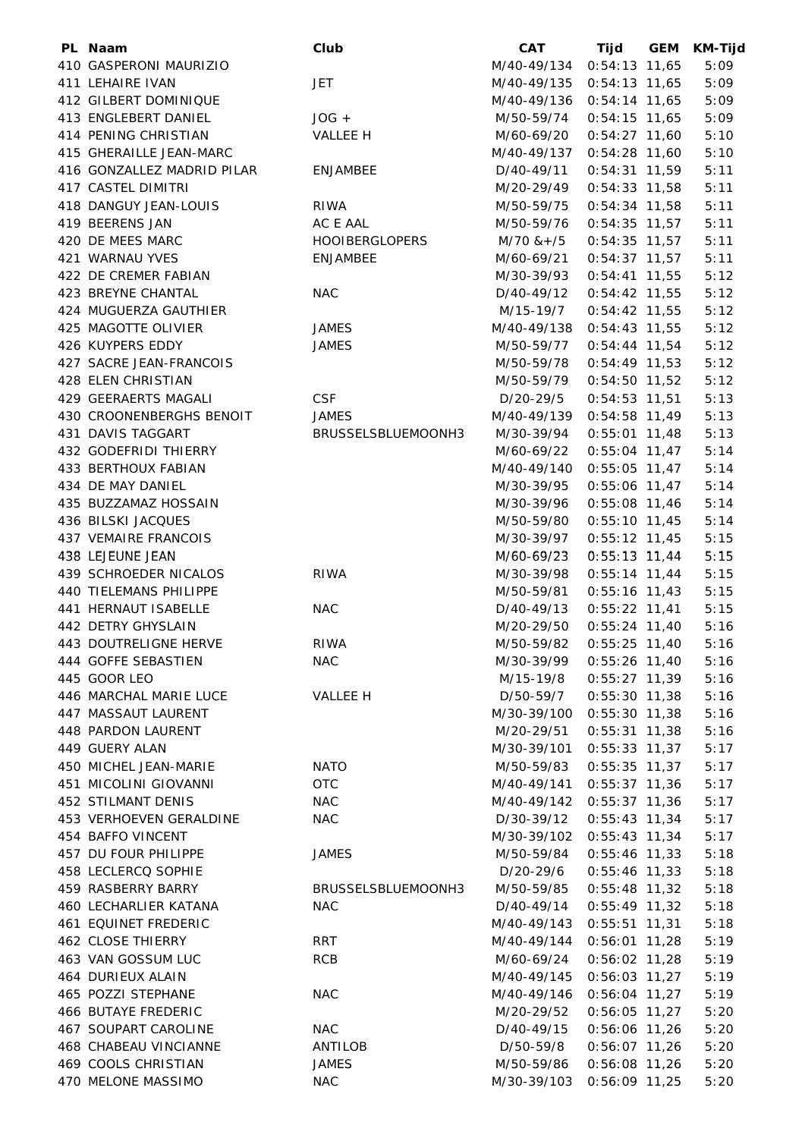| PL Naam                       | Club                  | <b>CAT</b>                  | Tijd            | GEM | <b>KM-Tijd</b> |
|-------------------------------|-----------------------|-----------------------------|-----------------|-----|----------------|
| 410 GASPERONI MAURIZIO        |                       | M/40-49/134  0:54:13  11,65 |                 |     | 5:09           |
| 411 LEHAIRE IVAN              | <b>JET</b>            | M/40-49/135 0:54:13 11,65   |                 |     | 5:09           |
| 412 GILBERT DOMINIQUE         |                       | M/40-49/136 0:54:14 11,65   |                 |     | 5:09           |
| 413 ENGLEBERT DANIEL          | $JOG +$               | M/50-59/74                  | $0:54:15$ 11,65 |     | 5:09           |
| 414 PENING CHRISTIAN          | VALLEE H              | M/60-69/20                  | $0:54:27$ 11,60 |     | 5:10           |
| 415 GHERAILLE JEAN-MARC       |                       | M/40-49/137 0:54:28 11,60   |                 |     | 5:10           |
| 416 GONZALLEZ MADRID PILAR    | <b>ENJAMBEE</b>       | D/40-49/11                  | $0:54:31$ 11,59 |     | 5:11           |
| 417 CASTEL DIMITRI            |                       | M/20-29/49                  | $0:54:33$ 11,58 |     | 5:11           |
| 418 DANGUY JEAN-LOUIS         | <b>RIWA</b>           | M/50-59/75                  | $0:54:34$ 11,58 |     | 5:11           |
| 419 BEERENS JAN               | AC E AAL              | M/50-59/76                  | $0:54:35$ 11,57 |     | 5:11           |
| 420 DE MEES MARC              | <b>HOOIBERGLOPERS</b> | M/70 &+/5                   | $0:54:35$ 11,57 |     | 5:11           |
| 421 WARNAU YVES               | <b>ENJAMBEE</b>       | M/60-69/21                  | $0:54:37$ 11,57 |     | 5:11           |
| 422 DE CREMER FABIAN          |                       | M/30-39/93                  | $0:54:41$ 11,55 |     | 5:12           |
|                               |                       |                             |                 |     |                |
| 423 BREYNE CHANTAL            | <b>NAC</b>            | D/40-49/12                  | $0:54:42$ 11,55 |     | 5:12           |
| 424 MUGUERZA GAUTHIER         |                       | M/15-19/7                   | $0:54:42$ 11,55 |     | 5:12           |
| 425 MAGOTTE OLIVIER           | <b>JAMES</b>          | M/40-49/138 0:54:43 11,55   |                 |     | 5:12           |
| 426 KUYPERS EDDY              | JAMES                 | M/50-59/77                  | $0:54:44$ 11,54 |     | 5:12           |
| 427 SACRE JEAN-FRANCOIS       |                       | M/50-59/78                  | $0:54:49$ 11,53 |     | 5:12           |
| 428 ELEN CHRISTIAN            |                       | M/50-59/79                  | $0:54:50$ 11,52 |     | 5:12           |
| 429 GEERAERTS MAGALI          | <b>CSF</b>            | D/20-29/5                   | $0:54:53$ 11,51 |     | 5:13           |
| 430 CROONENBERGHS BENOIT      | <b>JAMES</b>          | M/40-49/139                 | $0:54:58$ 11,49 |     | 5:13           |
| 431 DAVIS TAGGART             | BRUSSELSBLUEMOONH3    | M/30-39/94                  | $0:55:01$ 11,48 |     | 5:13           |
| 432 GODEFRIDI THIERRY         |                       | M/60-69/22                  | $0:55:04$ 11,47 |     | 5:14           |
| 433 BERTHOUX FABIAN           |                       | M/40-49/140                 | $0:55:05$ 11,47 |     | 5:14           |
| 434 DE MAY DANIEL             |                       | M/30-39/95                  | $0:55:06$ 11,47 |     | 5:14           |
| 435 BUZZAMAZ HOSSAIN          |                       | M/30-39/96                  | $0:55:08$ 11,46 |     | 5:14           |
| 436 BILSKI JACQUES            |                       | M/50-59/80                  | $0:55:10$ 11,45 |     | 5:14           |
| <b>437 VEMAIRE FRANCOIS</b>   |                       | M/30-39/97                  | $0:55:12$ 11,45 |     | 5:15           |
| 438 LEJEUNE JEAN              |                       | M/60-69/23                  | $0:55:13$ 11,44 |     | 5:15           |
| 439 SCHROEDER NICALOS         | <b>RIWA</b>           | M/30-39/98                  | $0:55:14$ 11,44 |     | 5:15           |
| <b>440 TIELEMANS PHILIPPE</b> |                       | M/50-59/81                  | $0:55:16$ 11,43 |     | 5:15           |
| 441 HERNAUT ISABELLE          | <b>NAC</b>            | D/40-49/13                  | $0:55:22$ 11,41 |     | 5:15           |
| 442 DETRY GHYSLAIN            |                       | M/20-29/50                  | $0:55:24$ 11,40 |     | 5:16           |
| 443 DOUTRELIGNE HERVE         | <b>RIWA</b>           | M/50-59/82                  | $0:55:25$ 11,40 |     | 5:16           |
| 444 GOFFE SEBASTIEN           | NAC                   | M/30-39/99 0:55:26 11,40    |                 |     | 5:16           |
| 445 GOOR LEO                  |                       | M/15-19/8 0:55:27 11,39     |                 |     | 5:16           |
| 446 MARCHAL MARIE LUCE        | <b>VALLEE H</b>       | D/50-59/7                   | $0:55:30$ 11,38 |     | 5:16           |
| 447 MASSAUT LAURENT           |                       | M/30-39/100 0:55:30 11,38   |                 |     | 5:16           |
| 448 PARDON LAURENT            |                       | M/20-29/51                  | $0:55:31$ 11,38 |     | 5:16           |
| 449 GUERY ALAN                |                       | M/30-39/101                 | $0:55:33$ 11,37 |     | 5:17           |
| 450 MICHEL JEAN-MARIE         | <b>NATO</b>           | M/50-59/83                  | $0:55:35$ 11,37 |     | 5:17           |
| 451 MICOLINI GIOVANNI         | <b>OTC</b>            | M/40-49/141                 | $0:55:37$ 11,36 |     | 5:17           |
| <b>452 STILMANT DENIS</b>     | <b>NAC</b>            | M/40-49/142 0:55:37 11,36   |                 |     | 5:17           |
| 453 VERHOEVEN GERALDINE       | <b>NAC</b>            | D/30-39/12                  | $0:55:43$ 11,34 |     | 5:17           |
|                               |                       |                             |                 |     |                |
| 454 BAFFO VINCENT             |                       | M/30-39/102 0:55:43 11,34   |                 |     | 5:17           |
| 457 DU FOUR PHILIPPE          | <b>JAMES</b>          | M/50-59/84                  | $0:55:46$ 11,33 |     | 5:18           |
| 458 LECLERCQ SOPHIE           |                       | D/20-29/6                   | $0:55:46$ 11,33 |     | 5:18           |
| 459 RASBERRY BARRY            | BRUSSELSBLUEMOONH3    | M/50-59/85  0:55:48  11,32  |                 |     | 5:18           |
| 460 LECHARLIER KATANA         | <b>NAC</b>            | $D/40-49/14$ 0:55:49 11,32  |                 |     | 5:18           |
| <b>461 EQUINET FREDERIC</b>   |                       | M/40-49/143 0:55:51 11,31   |                 |     | 5:18           |
| <b>462 CLOSE THIERRY</b>      | <b>RRT</b>            | M/40-49/144 0:56:01 11,28   |                 |     | 5:19           |
| 463 VAN GOSSUM LUC            | <b>RCB</b>            | M/60-69/24                  | $0:56:02$ 11,28 |     | 5:19           |
| 464 DURIEUX ALAIN             |                       | M/40-49/145                 | $0:56:03$ 11,27 |     | 5:19           |
| 465 POZZI STEPHANE            | <b>NAC</b>            | M/40-49/146                 | $0:56:04$ 11,27 |     | 5:19           |
| <b>466 BUTAYE FREDERIC</b>    |                       | M/20-29/52                  | $0:56:05$ 11,27 |     | 5:20           |
| 467 SOUPART CAROLINE          | <b>NAC</b>            | D/40-49/15                  | 0:56:06 11,26   |     | 5:20           |
| 468 CHABEAU VINCIANNE         | ANTILOB               | D/50-59/8                   | $0:56:07$ 11,26 |     | 5:20           |
| 469 COOLS CHRISTIAN           | JAMES                 | M/50-59/86                  | $0:56:08$ 11,26 |     | 5:20           |
| 470 MELONE MASSIMO            | <b>NAC</b>            | M/30-39/103 0:56:09 11,25   |                 |     | 5:20           |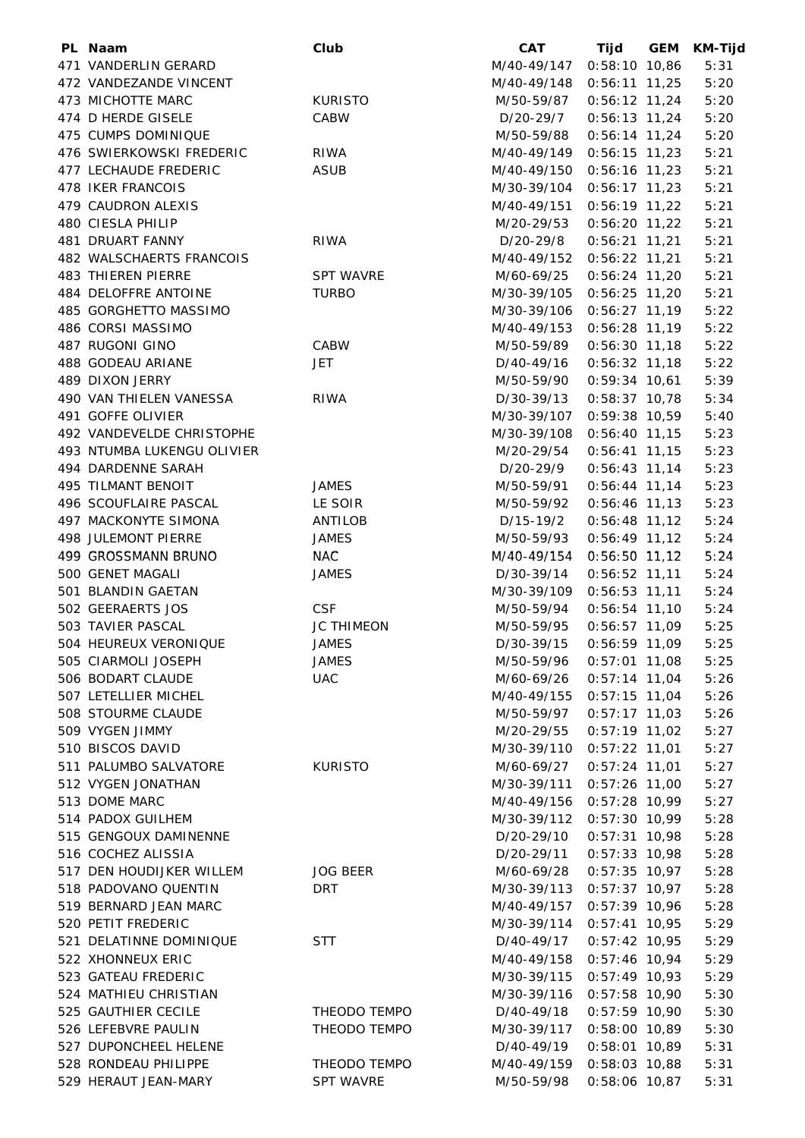| PL Naam                    | Club              | <b>CAT</b>                 | Tijd GEM        | <b>KM-Tijd</b> |
|----------------------------|-------------------|----------------------------|-----------------|----------------|
| 471 VANDERLIN GERARD       |                   | M/40-49/147 0:58:10 10,86  |                 | 5:31           |
| 472 VANDEZANDE VINCENT     |                   | M/40-49/148 0:56:11 11,25  |                 | 5:20           |
| 473 MICHOTTE MARC          | <b>KURISTO</b>    | M/50-59/87  0:56:12  11,24 |                 | 5:20           |
| 474 D HERDE GISELE         | CABW              | D/20-29/7                  | $0:56:13$ 11,24 | 5:20           |
| 475 CUMPS DOMINIQUE        |                   | M/50-59/88                 | $0:56:14$ 11,24 | 5:20           |
| 476 SWIERKOWSKI FREDERIC   | <b>RIWA</b>       | M/40-49/149 0:56:15 11,23  |                 | 5:21           |
| 477 LECHAUDE FREDERIC      | <b>ASUB</b>       | M/40-49/150 0:56:16 11,23  |                 | 5:21           |
| <b>478 IKER FRANCOIS</b>   |                   | M/30-39/104                | $0:56:17$ 11,23 | 5:21           |
| 479 CAUDRON ALEXIS         |                   | M/40-49/151                | $0:56:19$ 11,22 | 5:21           |
| 480 CIESLA PHILIP          |                   | M/20-29/53                 | $0:56:20$ 11,22 | 5:21           |
| 481 DRUART FANNY           | RIWA              | D/20-29/8                  | $0:56:21$ 11,21 | 5:21           |
| 482 WALSCHAERTS FRANCOIS   |                   | M/40-49/152 0:56:22 11,21  |                 | 5:21           |
| <b>483 THIEREN PIERRE</b>  | <b>SPT WAVRE</b>  |                            |                 | 5:21           |
|                            |                   | M/60-69/25                 | $0:56:24$ 11,20 |                |
| 484 DELOFFRE ANTOINE       | TURBO             | M/30-39/105 0:56:25 11,20  |                 | 5:21           |
| 485 GORGHETTO MASSIMO      |                   | M/30-39/106 0:56:27 11,19  |                 | 5:22           |
| 486 CORSI MASSIMO          |                   | M/40-49/153 0:56:28 11,19  |                 | 5:22           |
| 487 RUGONI GINO            | CABW              | M/50-59/89  0:56:30  11,18 |                 | 5:22           |
| 488 GODEAU ARIANE          | <b>JET</b>        | D/40-49/16                 | $0:56:32$ 11,18 | 5:22           |
| 489 DIXON JERRY            |                   | M/50-59/90                 | $0:59:34$ 10,61 | 5:39           |
| 490 VAN THIELEN VANESSA    | <b>RIWA</b>       | D/30-39/13                 | $0:58:37$ 10,78 | 5:34           |
| 491 GOFFE OLIVIER          |                   | M/30-39/107                | $0:59:38$ 10,59 | 5:40           |
| 492 VANDEVELDE CHRISTOPHE  |                   | M/30-39/108                | $0:56:40$ 11,15 | 5:23           |
| 493 NTUMBA LUKENGU OLIVIER |                   | M/20-29/54                 | $0:56:41$ 11,15 | 5:23           |
| 494 DARDENNE SARAH         |                   | D/20-29/9                  | $0:56:43$ 11,14 | 5:23           |
| 495 TILMANT BENOIT         | <b>JAMES</b>      | M/50-59/91                 | $0:56:44$ 11,14 | 5:23           |
| 496 SCOUFLAIRE PASCAL      | LE SOIR           | M/50-59/92                 | $0:56:46$ 11,13 | 5:23           |
| 497 MACKONYTE SIMONA       | ANTILOB           | D/15-19/2                  | $0:56:48$ 11,12 | 5:24           |
| 498 JULEMONT PIERRE        | <b>JAMES</b>      | M/50-59/93                 | $0:56:49$ 11,12 | 5:24           |
| 499 GROSSMANN BRUNO        | <b>NAC</b>        | M/40-49/154 0:56:50 11,12  |                 | 5:24           |
| 500 GENET MAGALI           | JAMES             | D/30-39/14                 | $0:56:52$ 11,11 | 5:24           |
| 501 BLANDIN GAETAN         |                   | M/30-39/109 0:56:53 11,11  |                 | 5:24           |
| 502 GEERAERTS JOS          | <b>CSF</b>        | M/50-59/94                 | $0:56:54$ 11,10 | 5:24           |
| 503 TAVIER PASCAL          | <b>JC THIMEON</b> | M/50-59/95                 | $0:56:57$ 11,09 | 5:25           |
| 504 HEUREUX VERONIQUE      | JAMES             | D/30-39/15  0:56:59  11,09 |                 | 5:25           |
| 505 CIARMOLI JOSEPH        | <b>JAMES</b>      | M/50-59/96 0:57:01 11,08   |                 | 5:25           |
| 506 BODART CLAUDE          | <b>UAC</b>        | M/60-69/26  0:57:14  11,04 |                 | 5:26           |
| 507 LETELLIER MICHEL       |                   | M/40-49/155 0:57:15 11,04  |                 | 5:26           |
| 508 STOURME CLAUDE         |                   | M/50-59/97                 | $0:57:17$ 11,03 | 5:26           |
| 509 VYGEN JIMMY            |                   | M/20-29/55                 | $0:57:19$ 11,02 | 5:27           |
| 510 BISCOS DAVID           |                   | M/30-39/110                | $0:57:22$ 11,01 | 5:27           |
| 511 PALUMBO SALVATORE      | <b>KURISTO</b>    | M/60-69/27                 | $0:57:24$ 11,01 | 5:27           |
| 512 VYGEN JONATHAN         |                   | M/30-39/111                | 0:57:26 11,00   | 5:27           |
| 513 DOME MARC              |                   | M/40-49/156                | $0:57:28$ 10,99 | 5:27           |
| 514 PADOX GUILHEM          |                   | M/30-39/112 0:57:30 10,99  |                 | 5:28           |
| 515 GENGOUX DAMINENNE      |                   | D/20-29/10                 | $0:57:31$ 10,98 | 5:28           |
| 516 COCHEZ ALISSIA         |                   | D/20-29/11                 | $0:57:33$ 10,98 | 5:28           |
| 517 DEN HOUDIJKER WILLEM   | <b>JOG BEER</b>   |                            |                 |                |
|                            | DRT               | M/60-69/28                 | 0:57:35 10,97   | 5:28           |
| 518 PADOVANO QUENTIN       |                   | M/30-39/113 0:57:37 10,97  |                 | 5:28           |
| 519 BERNARD JEAN MARC      |                   | M/40-49/157 0:57:39 10,96  |                 | 5:28           |
| 520 PETIT FREDERIC         |                   | M/30-39/114                | $0:57:41$ 10,95 | 5:29           |
| 521 DELATINNE DOMINIQUE    | <b>STT</b>        | D/40-49/17                 | $0:57:42$ 10,95 | 5:29           |
| 522 XHONNEUX ERIC          |                   | M/40-49/158                | $0:57:46$ 10,94 | 5:29           |
| 523 GATEAU FREDERIC        |                   | M/30-39/115                | 0:57:49 10,93   | 5:29           |
| 524 MATHIEU CHRISTIAN      |                   | M/30-39/116 0:57:58 10,90  |                 | 5:30           |
| 525 GAUTHIER CECILE        | THEODO TEMPO      | D/40-49/18                 | $0:57:59$ 10,90 | 5:30           |
| 526 LEFEBVRE PAULIN        | THEODO TEMPO      | M/30-39/117 0:58:00 10,89  |                 | 5:30           |
| 527 DUPONCHEEL HELENE      |                   | D/40-49/19                 | $0:58:01$ 10,89 | 5:31           |
| 528 RONDEAU PHILIPPE       | THEODO TEMPO      | M/40-49/159 0:58:03 10,88  |                 | 5:31           |
| 529 HERAUT JEAN-MARY       | <b>SPT WAVRE</b>  | M/50-59/98                 | $0:58:06$ 10,87 | 5:31           |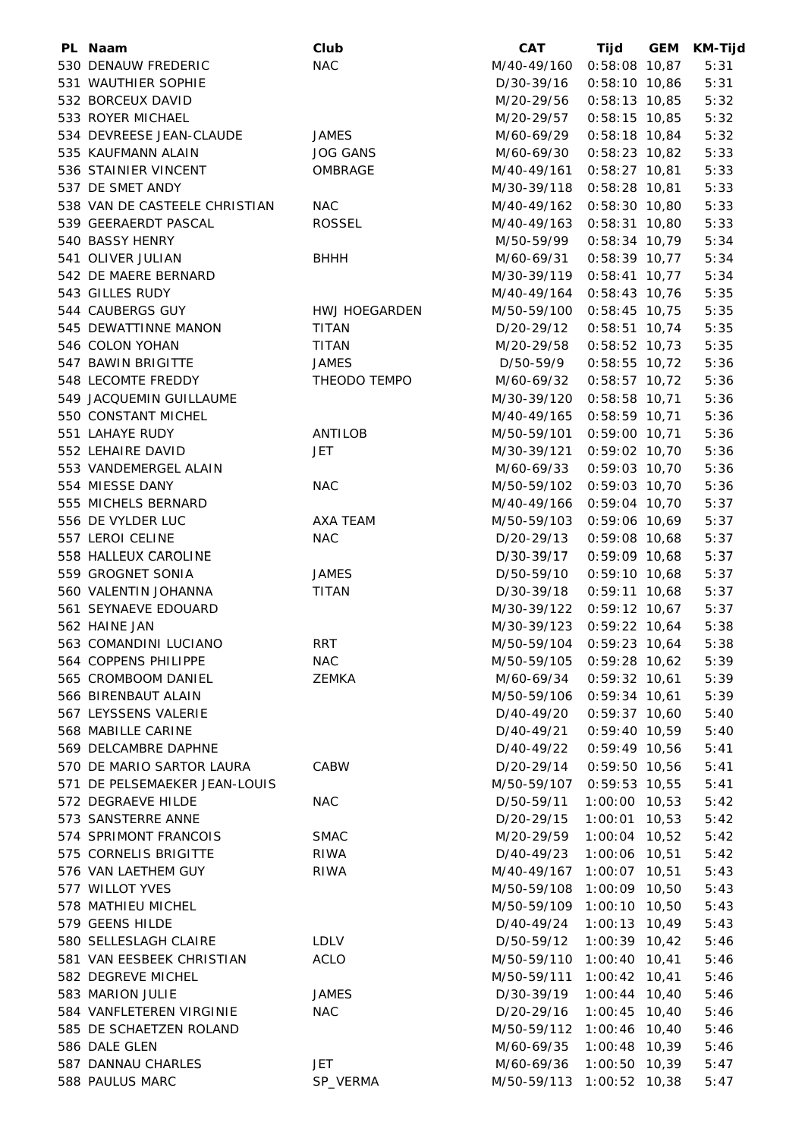| PL Naam                       | Club            | <b>CAT</b>                  | Tijd                               | <b>GEM</b> | <b>KM-Tijd</b> |
|-------------------------------|-----------------|-----------------------------|------------------------------------|------------|----------------|
| 530 DENAUW FREDERIC           | <b>NAC</b>      | M/40-49/160 0:58:08 10,87   |                                    |            | 5:31           |
| 531 WAUTHIER SOPHIE           |                 | D/30-39/16                  | $0:58:10$ 10,86                    |            | 5:31           |
| 532 BORCEUX DAVID             |                 | M/20-29/56                  | $0:58:13$ 10,85                    |            | 5:32           |
| 533 ROYER MICHAEL             |                 | M/20-29/57                  | $0:58:15$ 10,85                    |            | 5:32           |
| 534 DEVREESE JEAN-CLAUDE      | JAMES           | M/60-69/29                  | $0:58:18$ 10,84                    |            | 5:32           |
| 535 KAUFMANN ALAIN            | <b>JOG GANS</b> | M/60-69/30                  | $0:58:23$ 10,82                    |            | 5:33           |
| 536 STAINIER VINCENT          | OMBRAGE         | M/40-49/161                 | $0:58:27$ 10,81                    |            | 5:33           |
| 537 DE SMET ANDY              |                 | M/30-39/118                 | $0:58:28$ 10,81                    |            | 5:33           |
| 538 VAN DE CASTEELE CHRISTIAN | <b>NAC</b>      | M/40-49/162                 | $0:58:30$ 10,80                    |            | 5:33           |
| 539 GEERAERDT PASCAL          | <b>ROSSEL</b>   | M/40-49/163  0:58:31  10,80 |                                    |            | 5:33           |
| 540 BASSY HENRY               |                 | M/50-59/99                  | $0:58:34$ 10,79                    |            | 5:34           |
| 541 OLIVER JULIAN             | <b>BHHH</b>     | M/60-69/31                  | $0:58:39$ 10,77                    |            | 5:34           |
| 542 DE MAERE BERNARD          |                 | M/30-39/119 0:58:41 10,77   |                                    |            | 5:34           |
| 543 GILLES RUDY               |                 | M/40-49/164                 | 0:58:43 10,76                      |            | 5:35           |
| 544 CAUBERGS GUY              | HWJ HOEGARDEN   | M/50-59/100 0:58:45 10,75   |                                    |            | 5:35           |
| 545 DEWATTINNE MANON          | <b>TITAN</b>    | D/20-29/12                  | $0:58:51$ 10,74                    |            | 5:35           |
| 546 COLON YOHAN               | TITAN           | M/20-29/58                  | $0:58:52$ 10,73                    |            | 5:35           |
| 547 BAWIN BRIGITTE            | JAMES           | D/50-59/9                   | $0:58:55$ 10,72                    |            | 5:36           |
| 548 LECOMTE FREDDY            | THEODO TEMPO    | M/60-69/32                  | $0:58:57$ 10,72                    |            | 5:36           |
| 549 JACQUEMIN GUILLAUME       |                 | M/30-39/120                 | $0:58:58$ 10,71                    |            | 5:36           |
| 550 CONSTANT MICHEL           |                 | M/40-49/165                 | $0:58:59$ 10,71                    |            | 5:36           |
| 551 LAHAYE RUDY               | ANTILOB         | M/50-59/101                 | $0:59:00$ 10,71                    |            | 5:36           |
| 552 LEHAIRE DAVID             | <b>JET</b>      | M/30-39/121  0:59:02  10,70 |                                    |            | 5:36           |
| 553 VANDEMERGEL ALAIN         |                 | M/60-69/33                  | $0:59:03$ 10,70                    |            | 5:36           |
| 554 MIESSE DANY               | <b>NAC</b>      | M/50-59/102 0:59:03 10,70   |                                    |            | 5:36           |
| 555 MICHELS BERNARD           |                 | M/40-49/166                 | $0:59:04$ 10,70                    |            | 5:37           |
| 556 DE VYLDER LUC             | AXA TEAM        | M/50-59/103 0:59:06 10,69   |                                    |            | 5:37           |
| 557 LEROI CELINE              | <b>NAC</b>      | D/20-29/13                  | $0:59:08$ 10,68                    |            | 5:37           |
| 558 HALLEUX CAROLINE          |                 | D/30-39/17                  | $0:59:09$ 10,68                    |            | 5:37           |
| 559 GROGNET SONIA             | <b>JAMES</b>    | D/50-59/10                  | $0:59:10$ 10,68                    |            | 5:37           |
| 560 VALENTIN JOHANNA          | <b>TITAN</b>    | D/30-39/18                  | $0:59:11$ 10,68                    |            | 5:37           |
| 561 SEYNAEVE EDOUARD          |                 | M/30-39/122 0:59:12 10,67   |                                    |            | 5:37           |
| 562 HAINE JAN                 |                 | M/30-39/123                 | $0:59:22$ 10,64                    |            | 5:38           |
| 563 COMANDINI LUCIANO         | <b>RRT</b>      | M/50-59/104 0:59:23 10,64   |                                    |            | 5:38           |
| 564 COPPENS PHILIPPE          | <b>NAC</b>      | M/50-59/105 0:59:28 10,62   |                                    |            | 5:39           |
| 565 CROMBOOM DANIEL           | ZEMKA           | M/60-69/34                  | $0:59:32$ 10,61                    |            | 5:39           |
| 566 BIRENBAUT ALAIN           |                 | M/50-59/106 0:59:34 10,61   |                                    |            | 5:39           |
| 567 LEYSSENS VALERIE          |                 | D/40-49/20                  | $0:59:37$ 10,60                    |            | 5:40           |
| 568 MABILLE CARINE            |                 | D/40-49/21                  | $0:59:40$ 10,59                    |            | 5:40           |
| 569 DELCAMBRE DAPHNE          |                 | D/40-49/22                  | $0:59:49$ 10,56                    |            | 5:41           |
| 570 DE MARIO SARTOR LAURA     | <b>CABW</b>     | D/20-29/14                  | $0:59:50$ 10,56                    |            | 5:41           |
| 571 DE PELSEMAEKER JEAN-LOUIS |                 | M/50-59/107 0:59:53 10,55   |                                    |            | 5:41           |
| 572 DEGRAEVE HILDE            | <b>NAC</b>      | D/50-59/11                  | $1:00:00$ 10,53                    |            | 5:42           |
| 573 SANSTERRE ANNE            |                 | D/20-29/15                  | $1:00:01$ 10,53                    |            | 5:42           |
| 574 SPRIMONT FRANCOIS         | <b>SMAC</b>     | M/20-29/59                  | $1:00:04$ 10,52                    |            | 5:42           |
| 575 CORNELIS BRIGITTE         | RIWA            | D/40-49/23                  | 1:00:06 10,51                      |            | 5:42           |
| 576 VAN LAETHEM GUY           | <b>RIWA</b>     | M/40-49/167 1:00:07 10,51   |                                    |            | 5:43           |
| 577 WILLOT YVES               |                 | M/50-59/108                 | 1:00:09 10,50                      |            | 5:43           |
| 578 MATHIEU MICHEL            |                 | M/50-59/109                 | $1:00:10$ $10,50$                  |            | 5:43           |
| 579 GEENS HILDE               |                 |                             | $1:00:13$ 10,49                    |            |                |
| 580 SELLESLAGH CLAIRE         | <b>LDLV</b>     | D/40-49/24                  |                                    |            | 5:43           |
|                               |                 | D/50-59/12                  | $1:00:39$ 10,42<br>$1:00:40$ 10,41 |            | 5:46           |
| 581 VAN EESBEEK CHRISTIAN     | <b>ACLO</b>     | M/50-59/110                 |                                    |            | 5:46           |
| 582 DEGREVE MICHEL            |                 | M/50-59/111                 | $1:00:42$ 10,41                    |            | 5:46           |
| 583 MARION JULIE              | <b>JAMES</b>    | D/30-39/19                  | $1:00:44$ 10,40                    |            | 5:46           |
| 584 VANFLETEREN VIRGINIE      | <b>NAC</b>      | D/20-29/16                  | $1:00:45$ 10,40                    |            | 5:46           |
| 585 DE SCHAETZEN ROLAND       |                 | M/50-59/112 1:00:46 10,40   |                                    |            | 5:46           |
| 586 DALE GLEN                 |                 | M/60-69/35                  | $1:00:48$ 10,39                    |            | 5:46           |
| 587 DANNAU CHARLES            | JET             | M/60-69/36                  | $1:00:50$ $10,39$                  |            | 5:47           |
| 588 PAULUS MARC               | SP_VERMA        | M/50-59/113 1:00:52 10,38   |                                    |            | 5:47           |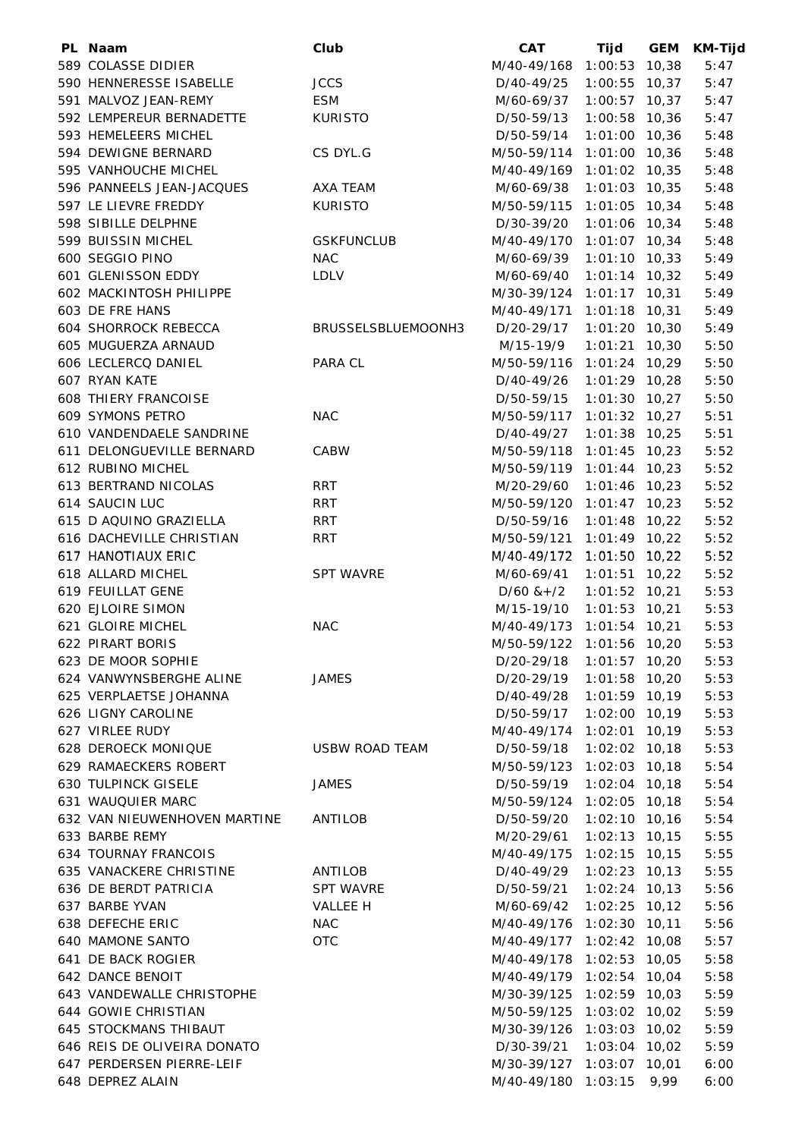| PL Naam                      | Club                  | <b>CAT</b>                | Tijd            | <b>GEM</b> | <b>KM-Tijd</b> |
|------------------------------|-----------------------|---------------------------|-----------------|------------|----------------|
| 589 COLASSE DIDIER           |                       | M/40-49/168 1:00:53 10,38 |                 |            | 5:47           |
| 590 HENNERESSE ISABELLE      | <b>JCCS</b>           | D/40-49/25                | $1:00:55$ 10,37 |            | 5:47           |
| 591 MALVOZ JEAN-REMY         | <b>ESM</b>            | M/60-69/37                | $1:00:57$ 10,37 |            | 5:47           |
| 592 LEMPEREUR BERNADETTE     | <b>KURISTO</b>        | D/50-59/13                | $1:00:58$ 10,36 |            | 5:47           |
| 593 HEMELEERS MICHEL         |                       | D/50-59/14                | $1:01:00$ 10,36 |            | 5:48           |
| 594 DEWIGNE BERNARD          | CS DYL.G              | M/50-59/114               | 1:01:00 10,36   |            | 5:48           |
| 595 VANHOUCHE MICHEL         |                       | M/40-49/169               | $1:01:02$ 10,35 |            | 5:48           |
| 596 PANNEELS JEAN-JACQUES    | AXA TEAM              | M/60-69/38                | $1:01:03$ 10,35 |            | 5:48           |
| 597 LE LIEVRE FREDDY         | <b>KURISTO</b>        | M/50-59/115               | $1:01:05$ 10,34 |            | 5:48           |
| 598 SIBILLE DELPHNE          |                       | D/30-39/20                | $1:01:06$ 10,34 |            | 5:48           |
| 599 BUISSIN MICHEL           | <b>GSKFUNCLUB</b>     | M/40-49/170 1:01:07 10,34 |                 |            | 5:48           |
| 600 SEGGIO PINO              | <b>NAC</b>            | M/60-69/39                | $1:01:10$ 10,33 |            | 5:49           |
| 601 GLENISSON EDDY           | <b>LDLV</b>           | M/60-69/40                | $1:01:14$ 10,32 |            | 5:49           |
| 602 MACKINTOSH PHILIPPE      |                       | M/30-39/124 1:01:17 10,31 |                 |            | 5:49           |
| 603 DE FRE HANS              |                       | M/40-49/171               | $1:01:18$ 10,31 |            | 5:49           |
| <b>604 SHORROCK REBECCA</b>  | BRUSSELSBLUEMOONH3    | D/20-29/17                | $1:01:20$ 10,30 |            | 5:49           |
| 605 MUGUERZA ARNAUD          |                       | M/15-19/9                 | $1:01:21$ 10,30 |            | 5:50           |
| 606 LECLERCQ DANIEL          | PARA CL               | M/50-59/116 1:01:24 10,29 |                 |            | 5:50           |
| 607 RYAN KATE                |                       | D/40-49/26                | $1:01:29$ 10,28 |            | 5:50           |
| <b>608 THIERY FRANCOISE</b>  |                       | D/50-59/15                | $1:01:30$ 10,27 |            | 5:50           |
| 609 SYMONS PETRO             | <b>NAC</b>            | M/50-59/117               | $1:01:32$ 10,27 |            | 5:51           |
| 610 VANDENDAELE SANDRINE     |                       | D/40-49/27                | $1:01:38$ 10,25 |            | 5:51           |
| 611 DELONGUEVILLE BERNARD    | <b>CABW</b>           | M/50-59/118 1:01:45 10,23 |                 |            | 5:52           |
| 612 RUBINO MICHEL            |                       | M/50-59/119 1:01:44 10,23 |                 |            | 5:52           |
| 613 BERTRAND NICOLAS         | RRT                   | M/20-29/60                | $1:01:46$ 10,23 |            | 5:52           |
| 614 SAUCIN LUC               | <b>RRT</b>            | M/50-59/120 1:01:47 10,23 |                 |            | 5:52           |
| 615 D AQUINO GRAZIELLA       | <b>RRT</b>            | D/50-59/16                | $1:01:48$ 10,22 |            | 5:52           |
| 616 DACHEVILLE CHRISTIAN     | <b>RRT</b>            | M/50-59/121               | $1:01:49$ 10,22 |            | 5:52           |
| 617 HANOTIAUX ERIC           |                       | M/40-49/172 1:01:50 10,22 |                 |            | 5:52           |
| 618 ALLARD MICHEL            | <b>SPT WAVRE</b>      | M/60-69/41                | $1:01:51$ 10,22 |            | 5:52           |
| 619 FEUILLAT GENE            |                       | $D/60$ & +/2              | $1:01:52$ 10,21 |            | 5:53           |
| <b>620 EJLOIRE SIMON</b>     |                       | M/15-19/10                | $1:01:53$ 10,21 |            | 5:53           |
| 621 GLOIRE MICHEL            | <b>NAC</b>            | M/40-49/173 1:01:54 10,21 |                 |            | 5:53           |
| 622 PIRART BORIS             |                       | M/50-59/122 1:01:56 10,20 |                 |            | 5:53           |
| 623 DE MOOR SOPHIE           |                       | D/20-29/18 1:01:57 10,20  |                 |            | 5:53           |
| 624 VANWYNSBERGHE ALINE      | <b>JAMES</b>          | D/20-29/19                | 1:01:58 10,20   |            | 5:53           |
| 625 VERPLAETSE JOHANNA       |                       | D/40-49/28 1:01:59 10,19  |                 |            | 5:53           |
| 626 LIGNY CAROLINE           |                       | D/50-59/17                | $1:02:00$ 10,19 |            | 5:53           |
| 627 VIRLEE RUDY              |                       | M/40-49/174 1:02:01 10,19 |                 |            | 5:53           |
| 628 DEROECK MONIQUE          | <b>USBW ROAD TEAM</b> | D/50-59/18                | $1:02:02$ 10,18 |            | 5:53           |
| 629 RAMAECKERS ROBERT        |                       | M/50-59/123 1:02:03 10,18 |                 |            | 5:54           |
| <b>630 TULPINCK GISELE</b>   | JAMES                 | D/50-59/19                | $1:02:04$ 10,18 |            | 5:54           |
| 631 WAUQUIER MARC            |                       | M/50-59/124 1:02:05 10,18 |                 |            | 5:54           |
| 632 VAN NIEUWENHOVEN MARTINE | ANTILOB               | D/50-59/20                | $1:02:10$ 10,16 |            | 5:54           |
| 633 BARBE REMY               |                       | M/20-29/61                | $1:02:13$ 10,15 |            | 5:55           |
| <b>634 TOURNAY FRANCOIS</b>  |                       | M/40-49/175 1:02:15 10,15 |                 |            | 5:55           |
| 635 VANACKERE CHRISTINE      | ANTILOB               | D/40-49/29                | $1:02:23$ 10,13 |            | 5:55           |
| 636 DE BERDT PATRICIA        | <b>SPT WAVRE</b>      | D/50-59/21 1:02:24 10,13  |                 |            | 5:56           |
| 637 BARBE YVAN               | VALLEE H              | M/60-69/42 1:02:25 10,12  |                 |            | 5:56           |
| 638 DEFECHE ERIC             | <b>NAC</b>            | M/40-49/176 1:02:30 10,11 |                 |            | 5:56           |
| 640 MAMONE SANTO             | <b>OTC</b>            | M/40-49/177 1:02:42 10,08 |                 |            | 5:57           |
| 641 DE BACK ROGIER           |                       | M/40-49/178 1:02:53 10,05 |                 |            | 5:58           |
| 642 DANCE BENOIT             |                       | M/40-49/179 1:02:54 10,04 |                 |            | 5:58           |
| 643 VANDEWALLE CHRISTOPHE    |                       | M/30-39/125 1:02:59 10,03 |                 |            | 5:59           |
| 644 GOWIE CHRISTIAN          |                       | M/50-59/125 1:03:02 10,02 |                 |            | 5:59           |
| <b>645 STOCKMANS THIBAUT</b> |                       | M/30-39/126 1:03:03 10,02 |                 |            | 5:59           |
| 646 REIS DE OLIVEIRA DONATO  |                       | D/30-39/21                | $1:03:04$ 10,02 |            | 5:59           |
| 647 PERDERSEN PIERRE-LEIF    |                       | M/30-39/127 1:03:07 10,01 |                 |            | 6:00           |
| 648 DEPREZ ALAIN             |                       | M/40-49/180 1:03:15 9,99  |                 |            | 6:00           |
|                              |                       |                           |                 |            |                |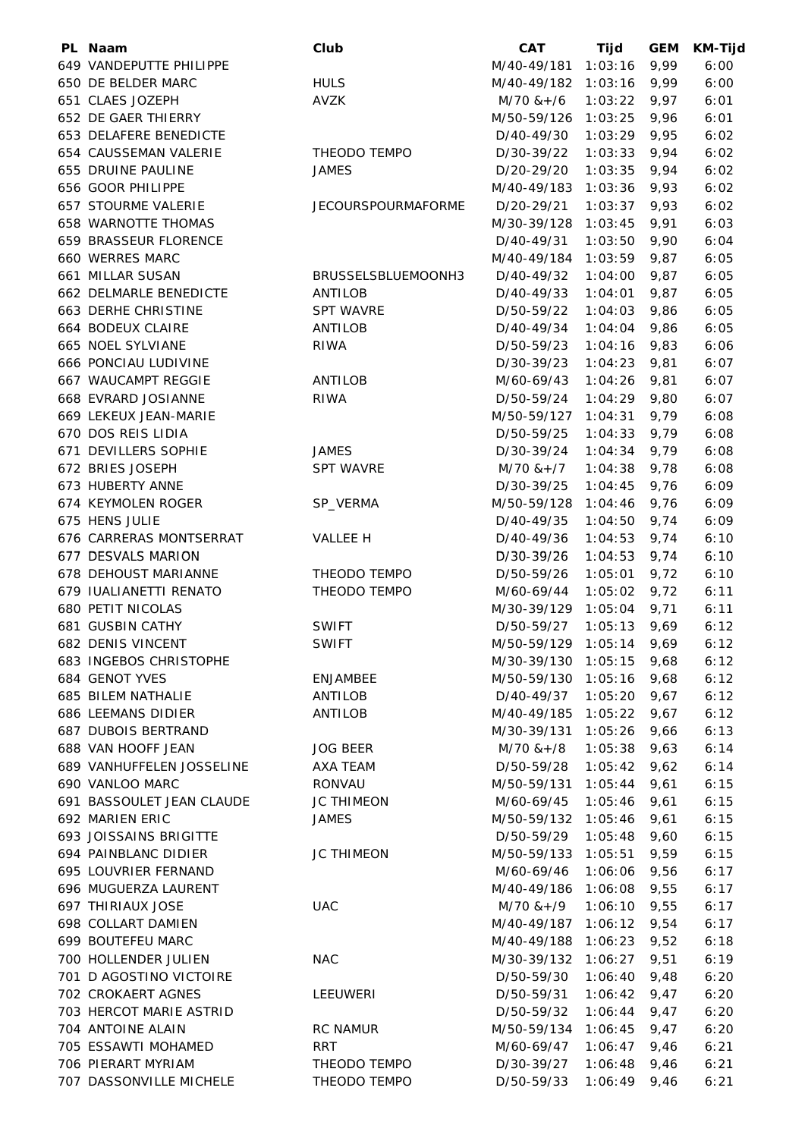| PL Naam                                         | Club                      | <b>CAT</b>               | Tijd           | <b>GEM</b> | <b>KM-Tijd</b> |
|-------------------------------------------------|---------------------------|--------------------------|----------------|------------|----------------|
| 649 VANDEPUTTE PHILIPPE                         |                           | M/40-49/181              | 1:03:16        | 9,99       | 6:00           |
| 650 DE BELDER MARC                              | <b>HULS</b>               | M/40-49/182 1:03:16      |                | 9,99       | 6:00           |
| 651 CLAES JOZEPH                                | AVZK                      | M/70 &+/6                | 1:03:22        | 9,97       | 6:01           |
| 652 DE GAER THIERRY                             |                           | M/50-59/126 1:03:25      |                | 9,96       | 6:01           |
| 653 DELAFERE BENEDICTE                          |                           | D/40-49/30               | 1:03:29        | 9,95       | 6:02           |
| 654 CAUSSEMAN VALERIE                           | THEODO TEMPO              | D/30-39/22               | 1:03:33        | 9,94       | 6:02           |
| 655 DRUINE PAULINE                              | <b>JAMES</b>              | D/20-29/20               | 1:03:35        | 9,94       | 6:02           |
| 656 GOOR PHILIPPE                               |                           | M/40-49/183              | 1:03:36        | 9,93       | 6:02           |
| <b>657 STOURME VALERIE</b>                      | <b>JECOURSPOURMAFORME</b> | D/20-29/21               | 1:03:37        | 9,93       | 6:02           |
| <b>658 WARNOTTE THOMAS</b>                      |                           | M/30-39/128              | 1:03:45        | 9,91       | 6:03           |
| 659 BRASSEUR FLORENCE                           |                           | D/40-49/31               | 1:03:50        | 9,90       | 6:04           |
| 660 WERRES MARC                                 |                           | M/40-49/184              | 1:03:59        | 9,87       | 6:05           |
| 661 MILLAR SUSAN                                | BRUSSELSBLUEMOONH3        | D/40-49/32               | 1:04:00        | 9,87       | 6:05           |
| 662 DELMARLE BENEDICTE                          | ANTILOB                   | D/40-49/33               | 1:04:01        | 9,87       | 6:05           |
| 663 DERHE CHRISTINE                             | <b>SPT WAVRE</b>          | D/50-59/22               | 1:04:03        | 9,86       | 6:05           |
| 664 BODEUX CLAIRE                               |                           |                          |                | 9,86       | 6:05           |
| 665 NOEL SYLVIANE                               | ANTILOB<br><b>RIWA</b>    | D/40-49/34               | 1:04:04        |            |                |
|                                                 |                           | D/50-59/23               | 1:04:16        | 9,83       | 6:06           |
| 666 PONCIAU LUDIVINE                            |                           | D/30-39/23               | 1:04:23        | 9,81       | 6:07           |
| 667 WAUCAMPT REGGIE                             | ANTILOB                   | M/60-69/43               | 1:04:26        | 9,81       | 6:07           |
| 668 EVRARD JOSIANNE                             | <b>RIWA</b>               | D/50-59/24               | 1:04:29        | 9,80       | 6:07           |
| 669 LEKEUX JEAN-MARIE                           |                           | M/50-59/127              | 1:04:31        | 9,79       | 6:08           |
| 670 DOS REIS LIDIA                              |                           | D/50-59/25               | 1:04:33        | 9,79       | 6:08           |
| 671 DEVILLERS SOPHIE                            | <b>JAMES</b>              | D/30-39/24               | 1:04:34        | 9,79       | 6:08           |
| 672 BRIES JOSEPH                                | <b>SPT WAVRE</b>          | $M/70$ & + $/7$          | 1:04:38        | 9,78       | 6:08           |
| 673 HUBERTY ANNE                                |                           | D/30-39/25               | 1:04:45        | 9,76       | 6:09           |
| 674 KEYMOLEN ROGER                              | SP_VERMA                  | M/50-59/128              | 1:04:46        | 9,76       | 6:09           |
| 675 HENS JULIE                                  |                           | D/40-49/35               | 1:04:50        | 9,74       | 6:09           |
| 676 CARRERAS MONTSERRAT                         | VALLEE H                  | D/40-49/36               | 1:04:53        | 9,74       | 6:10           |
| 677 DESVALS MARION                              |                           | D/30-39/26               | 1:04:53        | 9,74       | 6:10           |
| 678 DEHOUST MARIANNE                            | THEODO TEMPO              | D/50-59/26               | 1:05:01        | 9,72       | 6:10           |
| 679 IUALIANETTI RENATO                          | THEODO TEMPO              | M/60-69/44               | 1:05:02        | 9,72       | 6:11           |
| 680 PETIT NICOLAS                               |                           | M/30-39/129              | 1:05:04        | 9,71       | 6:11           |
| <b>681 GUSBIN CATHY</b>                         | <b>SWIFT</b>              | D/50-59/27               | 1:05:13        | 9,69       | 6:12           |
| <b>682 DENIS VINCENT</b>                        | SWIFT                     | M/50-59/129 1:05:14 9,69 |                |            | 6:12           |
| 683 INGEBOS CHRISTOPHE                          |                           | M/30-39/130 1:05:15 9,68 |                |            | 6:12           |
| 684 GENOT YVES                                  | ENJAMBEE                  | M/50-59/130 1:05:16 9,68 |                |            | 6:12           |
| 685 BILEM NATHALIE                              | ANTILOB                   | D/40-49/37               | $1:05:20$ 9,67 |            | 6:12           |
| 686 LEEMANS DIDIER                              | ANTILOB                   | M/40-49/185 1:05:22      |                | 9,67       | 6:12           |
| 687 DUBOIS BERTRAND                             |                           | M/30-39/131              | 1:05:26        | 9,66       | 6:13           |
| 688 VAN HOOFF JEAN                              | <b>JOG BEER</b>           | $M/70$ & +/8             | 1:05:38        | 9,63       | 6:14           |
| 689 VANHUFFELEN JOSSELINE                       | AXA TEAM                  | D/50-59/28               | 1:05:42        | 9,62       | 6:14           |
| 690 VANLOO MARC                                 | RONVAU                    | M/50-59/131              | 1:05:44        | 9,61       | 6:15           |
| 691 BASSOULET JEAN CLAUDE                       | <b>JC THIMEON</b>         | M/60-69/45               | 1:05:46        | 9,61       | 6:15           |
| 692 MARIEN ERIC                                 | JAMES                     | M/50-59/132 1:05:46      |                | 9,61       | 6:15           |
| 693 JOISSAINS BRIGITTE                          |                           | D/50-59/29               | $1:05:48$ 9,60 |            | 6:15           |
| 694 PAINBLANC DIDIER                            | <b>JC THIMEON</b>         | M/50-59/133 1:05:51      |                | 9,59       | 6:15           |
| 695 LOUVRIER FERNAND                            |                           | M/60-69/46               | 1:06:06        | 9,56       | 6:17           |
| 696 MUGUERZA LAURENT                            |                           | M/40-49/186 1:06:08 9,55 |                |            | 6:17           |
| 697 THIRIAUX JOSE                               | <b>UAC</b>                | M/70 &+/9                | $1:06:10$ 9,55 |            | 6:17           |
| 698 COLLART DAMIEN                              |                           | M/40-49/187              | $1:06:12$ 9,54 |            | 6:17           |
| 699 BOUTEFEU MARC                               |                           | M/40-49/188              | 1:06:23        | 9,52       | 6:18           |
|                                                 |                           |                          |                |            |                |
| 700 HOLLENDER JULIEN<br>701 D AGOSTINO VICTOIRE | <b>NAC</b>                | M/30-39/132              | 1:06:27        | 9,51       | 6:19           |
|                                                 |                           | D/50-59/30               | 1:06:40        | 9,48       | 6:20           |
| 702 CROKAERT AGNES                              | LEEUWERI                  | D/50-59/31               | 1:06:42        | 9,47       | 6:20           |
| 703 HERCOT MARIE ASTRID                         |                           | D/50-59/32               | 1:06:44        | 9,47       | 6:20           |
| 704 ANTOINE ALAIN                               | <b>RC NAMUR</b>           | M/50-59/134              | $1:06:45$ 9,47 |            | 6:20           |
| 705 ESSAWTI MOHAMED                             | <b>RRT</b>                | M/60-69/47               | $1:06:47$ 9,46 |            | 6:21           |
| 706 PIERART MYRIAM                              | THEODO TEMPO              | D/30-39/27               | 1:06:48        | 9,46       | 6:21           |
| 707 DASSONVILLE MICHELE                         | THEODO TEMPO              | D/50-59/33               | $1:06:49$ 9,46 |            | 6:21           |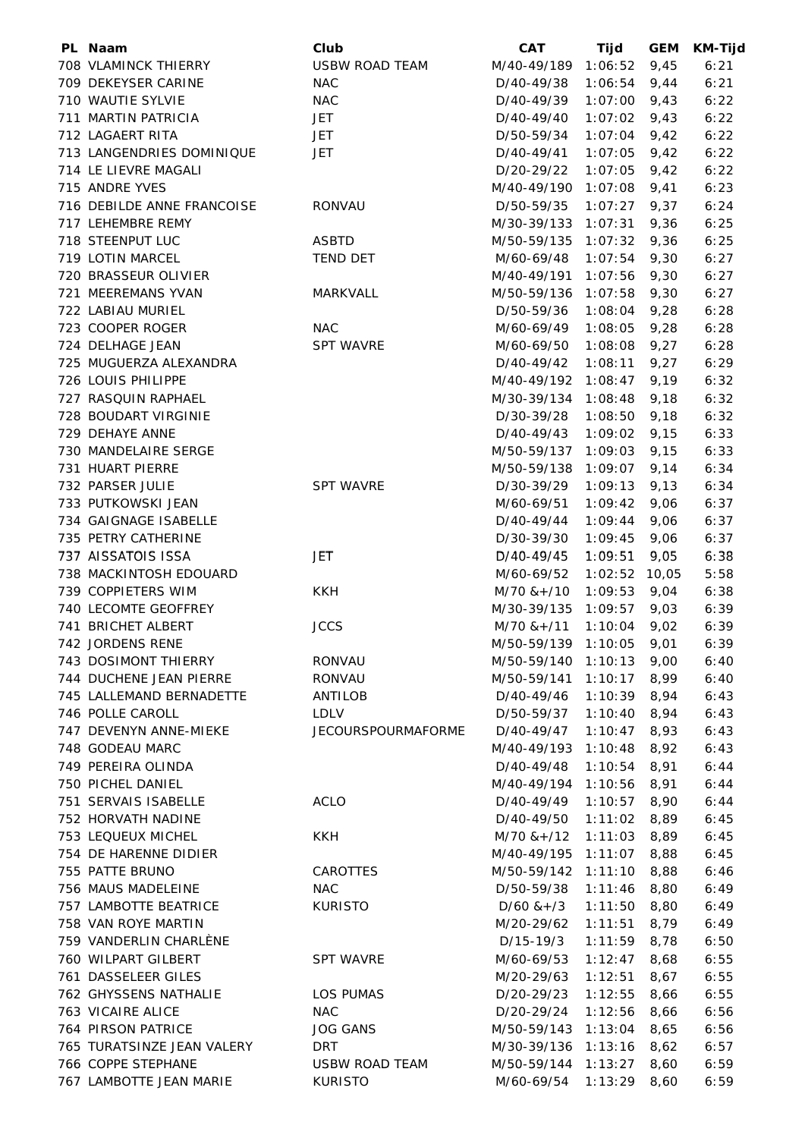| PL Naam                    | Club                      | <b>CAT</b>               | Tijd            | <b>GEM</b> | <b>KM-Tijd</b> |
|----------------------------|---------------------------|--------------------------|-----------------|------------|----------------|
| 708 VLAMINCK THIERRY       | <b>USBW ROAD TEAM</b>     | M/40-49/189              | 1:06:52         | 9,45       | 6:21           |
| 709 DEKEYSER CARINE        | <b>NAC</b>                | D/40-49/38               | 1:06:54         | 9,44       | 6:21           |
| 710 WAUTIE SYLVIE          | <b>NAC</b>                | D/40-49/39               | 1:07:00         | 9,43       | 6:22           |
| 711 MARTIN PATRICIA        | JET                       | D/40-49/40               | $1:07:02$ 9,43  |            | 6:22           |
| 712 LAGAERT RITA           | JET                       | D/50-59/34               | $1:07:04$ 9,42  |            | 6:22           |
| 713 LANGENDRIES DOMINIQUE  | <b>JET</b>                | D/40-49/41               | 1:07:05         | 9,42       | 6:22           |
| 714 LE LIEVRE MAGALI       |                           | D/20-29/22               | 1:07:05         | 9,42       | 6:22           |
| 715 ANDRE YVES             |                           | M/40-49/190              | 1:07:08         | 9,41       | 6:23           |
| 716 DEBILDE ANNE FRANCOISE | RONVAU                    | D/50-59/35               | 1:07:27         | 9,37       | 6:24           |
| 717 LEHEMBRE REMY          |                           | M/30-39/133              | 1:07:31         | 9,36       | 6:25           |
| 718 STEENPUT LUC           | <b>ASBTD</b>              | M/50-59/135 1:07:32      |                 | 9,36       | 6:25           |
| 719 LOTIN MARCEL           |                           | M/60-69/48               | $1:07:54$ 9,30  |            |                |
|                            | <b>TEND DET</b>           |                          |                 |            | 6:27           |
| 720 BRASSEUR OLIVIER       |                           | M/40-49/191              | 1:07:56         | 9,30       | 6:27           |
| 721 MEEREMANS YVAN         | MARKVALL                  | M/50-59/136 1:07:58      |                 | 9,30       | 6:27           |
| 722 LABIAU MURIEL          |                           | D/50-59/36               | 1:08:04         | 9,28       | 6:28           |
| 723 COOPER ROGER           | <b>NAC</b>                | M/60-69/49               | 1:08:05         | 9,28       | 6:28           |
| 724 DELHAGE JEAN           | <b>SPT WAVRE</b>          | M/60-69/50               | 1:08:08         | 9,27       | 6:28           |
| 725 MUGUERZA ALEXANDRA     |                           | D/40-49/42               | 1:08:11         | 9,27       | 6:29           |
| 726 LOUIS PHILIPPE         |                           | M/40-49/192              | 1:08:47         | 9,19       | 6:32           |
| 727 RASQUIN RAPHAEL        |                           | M/30-39/134              | 1:08:48         | 9,18       | 6:32           |
| 728 BOUDART VIRGINIE       |                           | D/30-39/28               | 1:08:50         | 9,18       | 6:32           |
| 729 DEHAYE ANNE            |                           | D/40-49/43               | 1:09:02         | 9,15       | 6:33           |
| 730 MANDELAIRE SERGE       |                           | M/50-59/137              | 1:09:03         | 9,15       | 6:33           |
| 731 HUART PIERRE           |                           | M/50-59/138 1:09:07      |                 | 9,14       | 6:34           |
| 732 PARSER JULIE           | <b>SPT WAVRE</b>          | D/30-39/29               | 1:09:13         | 9,13       | 6:34           |
| 733 PUTKOWSKI JEAN         |                           | M/60-69/51               | 1:09:42         | 9,06       | 6:37           |
| 734 GAIGNAGE ISABELLE      |                           | D/40-49/44               | 1:09:44         | 9,06       | 6:37           |
| 735 PETRY CATHERINE        |                           | D/30-39/30               | 1:09:45         | 9,06       | 6:37           |
| 737 AISSATOIS ISSA         | JET                       | D/40-49/45               | 1:09:51         | 9,05       | 6:38           |
| 738 MACKINTOSH EDOUARD     |                           | M/60-69/52               | $1:02:52$ 10,05 |            | 5:58           |
| 739 COPPIETERS WIM         | <b>KKH</b>                | M/70 &+/10               | 1:09:53         | 9,04       | 6:38           |
| 740 LECOMTE GEOFFREY       |                           | M/30-39/135 1:09:57      |                 | 9,03       | 6:39           |
| 741 BRICHET ALBERT         | <b>JCCS</b>               | $M/70$ & +/11            | 1:10:04         | 9,02       | 6:39           |
| 742 JORDENS RENE           |                           | M/50-59/139 1:10:05 9,01 |                 |            | 6:39           |
| 743 DOSIMONT THIERRY       | RONVAU                    | M/50-59/140 1:10:13 9,00 |                 |            | 6:40           |
| 744 DUCHENE JEAN PIERRE    | RONVAU                    | M/50-59/141 1:10:17 8,99 |                 |            | 6:40           |
| 745 LALLEMAND BERNADETTE   | ANTILOB                   | D/40-49/46               | $1:10:39$ 8,94  |            | 6:43           |
| 746 POLLE CAROLL           | LDLV                      | D/50-59/37               | $1:10:40$ 8,94  |            | 6:43           |
| 747 DEVENYN ANNE-MIEKE     | <b>JECOURSPOURMAFORME</b> | D/40-49/47               | $1:10:47$ 8,93  |            | 6:43           |
| 748 GODEAU MARC            |                           |                          |                 |            |                |
|                            |                           | M/40-49/193              | 1:10:48         | 8,92       | 6:43           |
| 749 PEREIRA OLINDA         |                           | D/40-49/48               | $1:10:54$ 8,91  |            | 6:44           |
| 750 PICHEL DANIEL          |                           | M/40-49/194              | $1:10:56$ 8,91  |            | 6:44           |
| 751 SERVAIS ISABELLE       | <b>ACLO</b>               | D/40-49/49               | $1:10:57$ 8,90  |            | 6:44           |
| 752 HORVATH NADINE         |                           | D/40-49/50               | $1:11:02$ 8,89  |            | 6:45           |
| 753 LEQUEUX MICHEL         | <b>KKH</b>                | M/70 &+/12               | $1:11:03$ 8,89  |            | 6:45           |
| 754 DE HARENNE DIDIER      |                           | M/40-49/195              | $1:11:07$ 8,88  |            | 6:45           |
| 755 PATTE BRUNO            | CAROTTES                  | M/50-59/142 1:11:10 8,88 |                 |            | 6:46           |
| 756 MAUS MADELEINE         | NAC                       | D/50-59/38               | $1:11:46$ 8,80  |            | 6:49           |
| 757 LAMBOTTE BEATRICE      | <b>KURISTO</b>            | $D/60$ & + $/3$          | $1:11:50$ 8,80  |            | 6:49           |
| 758 VAN ROYE MARTIN        |                           | M/20-29/62               | $1:11:51$ 8,79  |            | 6:49           |
| 759 VANDERLIN CHARLÈNE     |                           | D/15-19/3                | 1:11:59         | 8,78       | 6:50           |
| 760 WILPART GILBERT        | <b>SPT WAVRE</b>          | M/60-69/53               | 1:12:47         | 8,68       | 6:55           |
| 761 DASSELEER GILES        |                           | M/20-29/63               | 1:12:51         | 8,67       | 6:55           |
| 762 GHYSSENS NATHALIE      | LOS PUMAS                 | D/20-29/23               | 1:12:55         | 8,66       | 6:55           |
| 763 VICAIRE ALICE          | <b>NAC</b>                | D/20-29/24               | $1:12:56$ 8,66  |            | 6:56           |
| 764 PIRSON PATRICE         | <b>JOG GANS</b>           | M/50-59/143 1:13:04 8,65 |                 |            | 6:56           |
| 765 TURATSINZE JEAN VALERY | <b>DRT</b>                | M/30-39/136 1:13:16 8,62 |                 |            | 6:57           |
| 766 COPPE STEPHANE         | USBW ROAD TEAM            | M/50-59/144 1:13:27      |                 | 8,60       | 6:59           |
| 767 LAMBOTTE JEAN MARIE    | <b>KURISTO</b>            | M/60-69/54               | $1:13:29$ 8,60  |            | 6:59           |